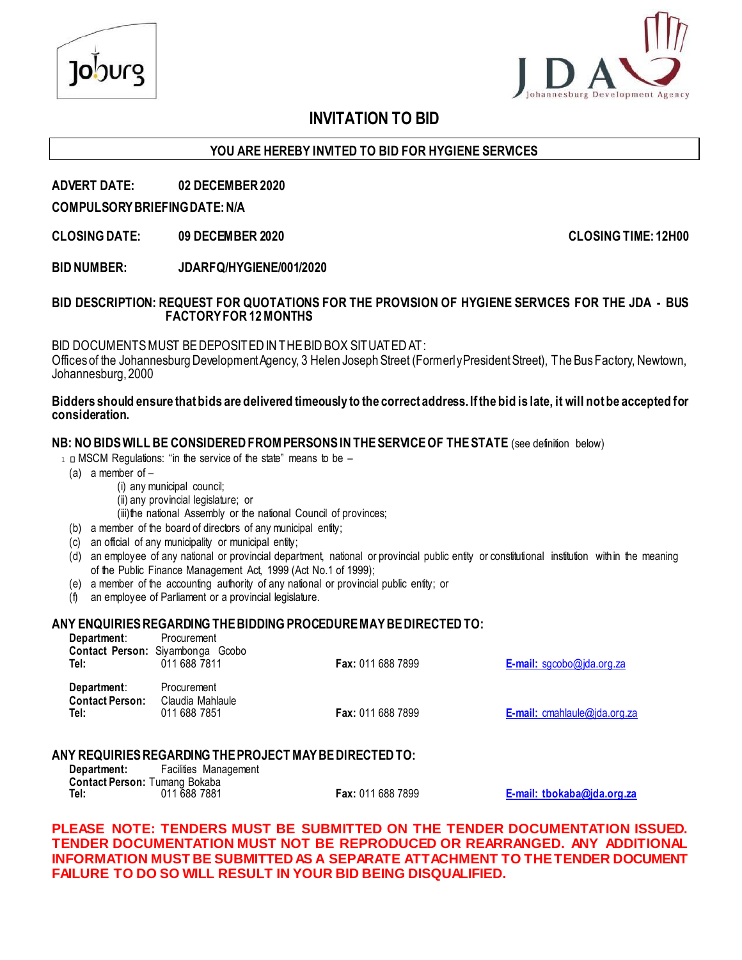

### **INVITATION TO BID**

#### **YOU ARE HEREBY INVITED TO BID FOR HYGIENE SERVICES**

#### **ADVERT DATE: 02 DECEMBER 2020**

#### **COMPULSORY BRIEFING DATE: N/A**

**CLOSING DATE: 09 DECEMBER 2020 CLOSING TIME: 12H00**

**BID NUMBER: JDARFQ/HYGIENE/001/2020**

#### **BID DESCRIPTION: REQUEST FOR QUOTATIONS FOR THE PROVISION OF HYGIENE SERVICES FOR THE JDA - BUS FACTORY FOR 12 MONTHS**

BID DOCUMENTS MUST BE DEPOSITED IN THE BID BOX SITUATED AT:

Offices of the Johannesburg Development Agency, 3 Helen Joseph Street (Formerly President Street), The Bus Factory, Newtown, Johannesburg, 2000

#### **Bidders should ensure that bids are delivered timeously to the correct address. If the bid is late, it will not be accepted for consideration.**

#### **NB: NO BIDS WILL BE CONSIDERED FROM PERSONS IN THE SERVICE OF THE STATE** (see definition below)

- $1 \Box$  MSCM Regulations: "in the service of the state" means to be  $-$ 
	- (a) a member of –

**Department**: Procurement

- (i) any municipal council;
- (ii) any provincial legislature; or

(iii)the national Assembly or the national Council of provinces;

- (b) a member of the board of directors of any municipal entity;
- (c) an official of any municipality or municipal entity;
- (d) an employee of any national or provincial department, national or provincial public entity or constitutional institution within the meaning of the Public Finance Management Act, 1999 (Act No.1 of 1999);
- (e) a member of the accounting authority of any national or provincial public entity; or
- (f) an employee of Parliament or a provincial legislature.

#### **ANY ENQUIRIES REGARDING THE BIDDING PROCEDURE MAY BE DIRECTED TO:**

| Department.<br>Tel:                           | <b>Procurement</b><br>Contact Person: Siyambonga Gcobo<br>011 688 7811 | <b>Fax: 011 688 7899</b> | <b>E-mail:</b> sgcobo@jda.org.za    |
|-----------------------------------------------|------------------------------------------------------------------------|--------------------------|-------------------------------------|
| Department:<br><b>Contact Person:</b><br>Tel: | Procurement<br>Claudia Mahlaule<br>011 688 7851                        | <b>Fax: 011 688 7899</b> | <b>E-mail:</b> cmahlaule@jda.org.za |

#### **ANY REQUIRIES REGARDING THE PROJECT MAY BE DIRECTED TO:**

| Department:                   |              | Facilities Management |
|-------------------------------|--------------|-----------------------|
| Contact Person: Tumang Bokaba |              |                       |
| Tel:                          | 011 688 7881 |                       |

**Tel:** 011 688 7881 **Fax:** 011 688 7899 **[E-mail:](mailto:tbokaba@jda.org.za) tbokaba@jda.org.za**

**PLEASE NOTE: TENDERS MUST BE SUBMITTED ON THE TENDER DOCUMENTATION ISSUED. TENDER DOCUMENTATION MUST NOT BE REPRODUCED OR REARRANGED. ANY ADDITIONAL INFORMATION MUST BE SUBMITTED AS A SEPARATE ATTACHMENT TO THE TENDER DOCUMENT FAILURE TO DO SO WILL RESULT IN YOUR BID BEING DISQUALIFIED.**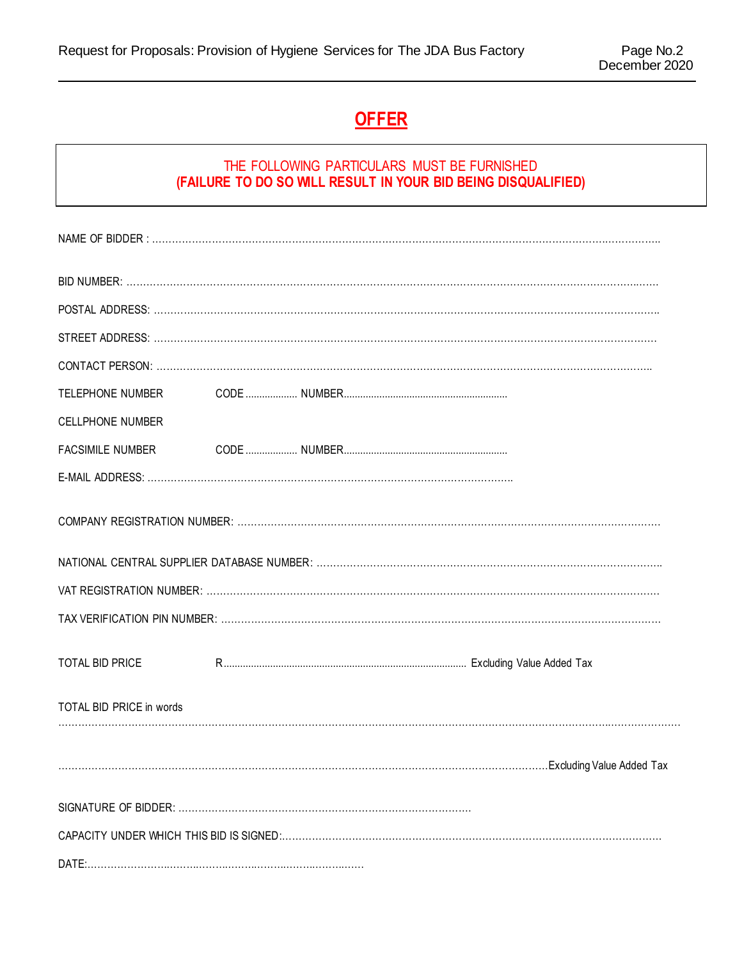## **OFFER**

#### THE FOLLOWING PARTICULARS MUST BE FURNISHED **(FAILURE TO DO SO WILL RESULT IN YOUR BID BEING DISQUALIFIED)**

| TELEPHONE NUMBER         |  |  |
|--------------------------|--|--|
| <b>CELLPHONE NUMBER</b>  |  |  |
| <b>FACSIMILE NUMBER</b>  |  |  |
|                          |  |  |
|                          |  |  |
|                          |  |  |
|                          |  |  |
|                          |  |  |
| TOTAL BID PRICE          |  |  |
| TOTAL BID PRICE in words |  |  |
|                          |  |  |
|                          |  |  |
|                          |  |  |
|                          |  |  |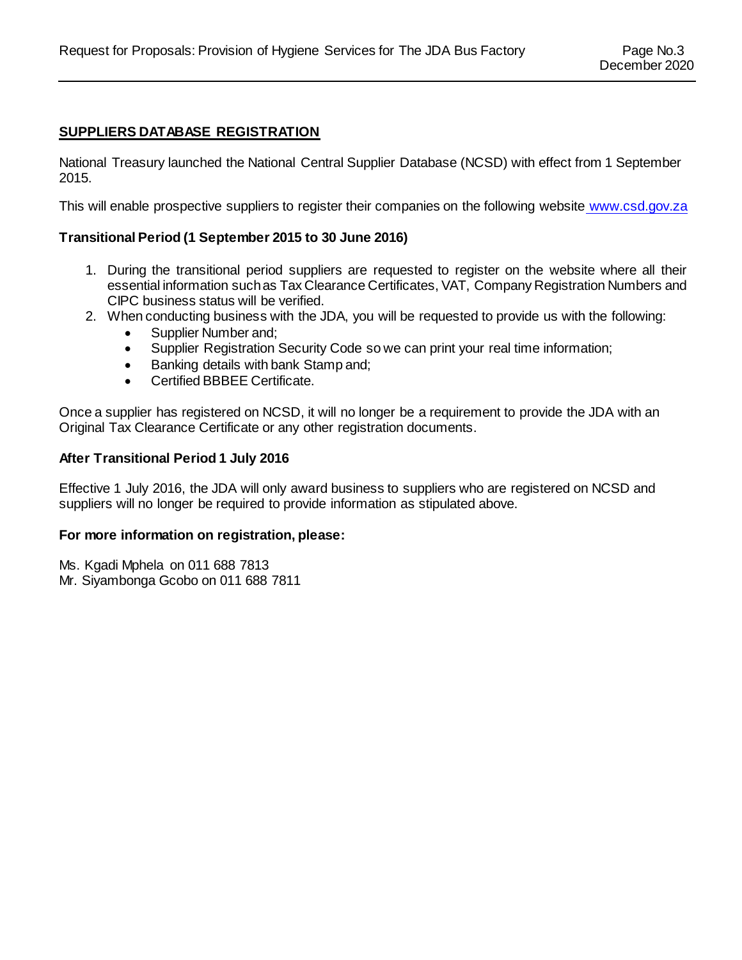#### **SUPPLIERS DATABASE REGISTRATION**

National Treasury launched the National Central Supplier Database (NCSD) with effect from 1 September 2015.

This will enable prospective suppliers to register their companies on the following website [www.csd.gov.za](http://www.csd.gov.za/)

#### **Transitional Period (1 September 2015 to 30 June 2016)**

- 1. During the transitional period suppliers are requested to register on the website where all their essential information such as Tax Clearance Certificates, VAT, Company Registration Numbers and CIPC business status will be verified.
- 2. When conducting business with the JDA, you will be requested to provide us with the following:
	- Supplier Number and;
	- Supplier Registration Security Code so we can print your real time information;
	- Banking details with bank Stamp and;
	- Certified BBBEE Certificate.

Once a supplier has registered on NCSD, it will no longer be a requirement to provide the JDA with an Original Tax Clearance Certificate or any other registration documents.

#### **After Transitional Period 1 July 2016**

Effective 1 July 2016, the JDA will only award business to suppliers who are registered on NCSD and suppliers will no longer be required to provide information as stipulated above.

#### **For more information on registration, please:**

Ms. Kgadi Mphela on 011 688 7813 Mr. Siyambonga Gcobo on 011 688 7811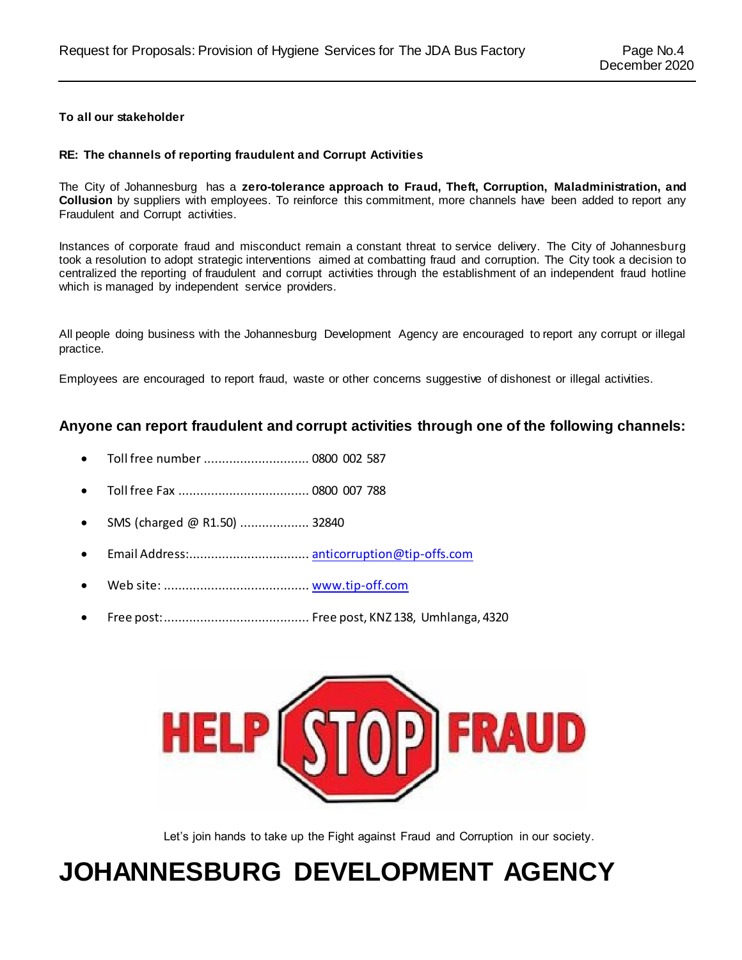#### **To all our stakeholder**

#### **RE: The channels of reporting fraudulent and Corrupt Activities**

The City of Johannesburg has a **zero-tolerance approach to Fraud, Theft, Corruption, Maladministration, and Collusion** by suppliers with employees. To reinforce this commitment, more channels have been added to report any Fraudulent and Corrupt activities.

Instances of corporate fraud and misconduct remain a constant threat to service delivery. The City of Johannesburg took a resolution to adopt strategic interventions aimed at combatting fraud and corruption. The City took a decision to centralized the reporting of fraudulent and corrupt activities through the establishment of an independent fraud hotline which is managed by independent service providers.

All people doing business with the Johannesburg Development Agency are encouraged to report any corrupt or illegal practice.

Employees are encouraged to report fraud, waste or other concerns suggestive of dishonest or illegal activities.

#### **Anyone can report fraudulent and corrupt activities through one of the following channels:**

- Toll free number ............................. 0800 002 587
- Toll free Fax .................................... 0800 007 788
- SMS (charged @ R1.50) .................... 32840
- Email Address:................................. [anticorruption@tip-offs.com](mailto:anticorruption@tip-offs.com)
- Web site: ........................................ [www.tip-off.com](http://www.tip-off.com/)
- Free post:........................................ Free post, KNZ 138, Umhlanga, 4320



Let's join hands to take up the Fight against Fraud and Corruption in our society.

# **JOHANNESBURG DEVELOPMENT AGENCY**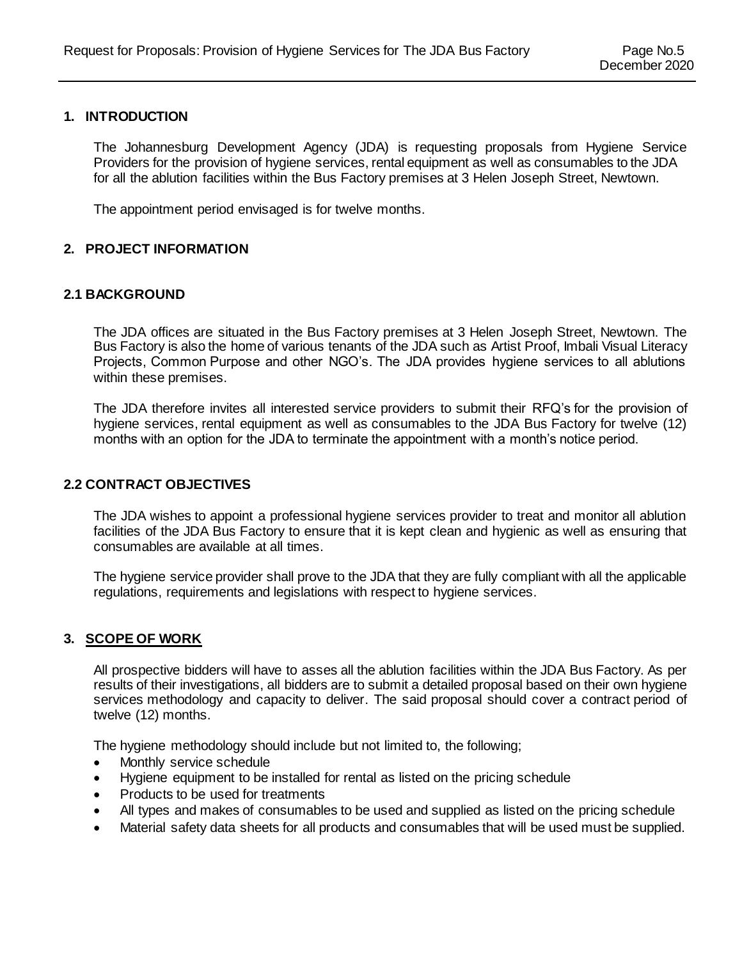#### **1. INTRODUCTION**

The Johannesburg Development Agency (JDA) is requesting proposals from Hygiene Service Providers for the provision of hygiene services, rental equipment as well as consumables to the JDA for all the ablution facilities within the Bus Factory premises at 3 Helen Joseph Street, Newtown.

The appointment period envisaged is for twelve months.

#### **2. PROJECT INFORMATION**

#### **2.1 BACKGROUND**

The JDA offices are situated in the Bus Factory premises at 3 Helen Joseph Street, Newtown. The Bus Factory is also the home of various tenants of the JDA such as Artist Proof, Imbali Visual Literacy Projects, Common Purpose and other NGO's. The JDA provides hygiene services to all ablutions within these premises.

The JDA therefore invites all interested service providers to submit their RFQ's for the provision of hygiene services, rental equipment as well as consumables to the JDA Bus Factory for twelve (12) months with an option for the JDA to terminate the appointment with a month's notice period.

#### **2.2 CONTRACT OBJECTIVES**

The JDA wishes to appoint a professional hygiene services provider to treat and monitor all ablution facilities of the JDA Bus Factory to ensure that it is kept clean and hygienic as well as ensuring that consumables are available at all times.

The hygiene service provider shall prove to the JDA that they are fully compliant with all the applicable regulations, requirements and legislations with respect to hygiene services.

#### **3. SCOPE OF WORK**

All prospective bidders will have to asses all the ablution facilities within the JDA Bus Factory. As per results of their investigations, all bidders are to submit a detailed proposal based on their own hygiene services methodology and capacity to deliver. The said proposal should cover a contract period of twelve (12) months.

The hygiene methodology should include but not limited to, the following;

- Monthly service schedule
- Hygiene equipment to be installed for rental as listed on the pricing schedule
- Products to be used for treatments
- All types and makes of consumables to be used and supplied as listed on the pricing schedule
- Material safety data sheets for all products and consumables that will be used must be supplied.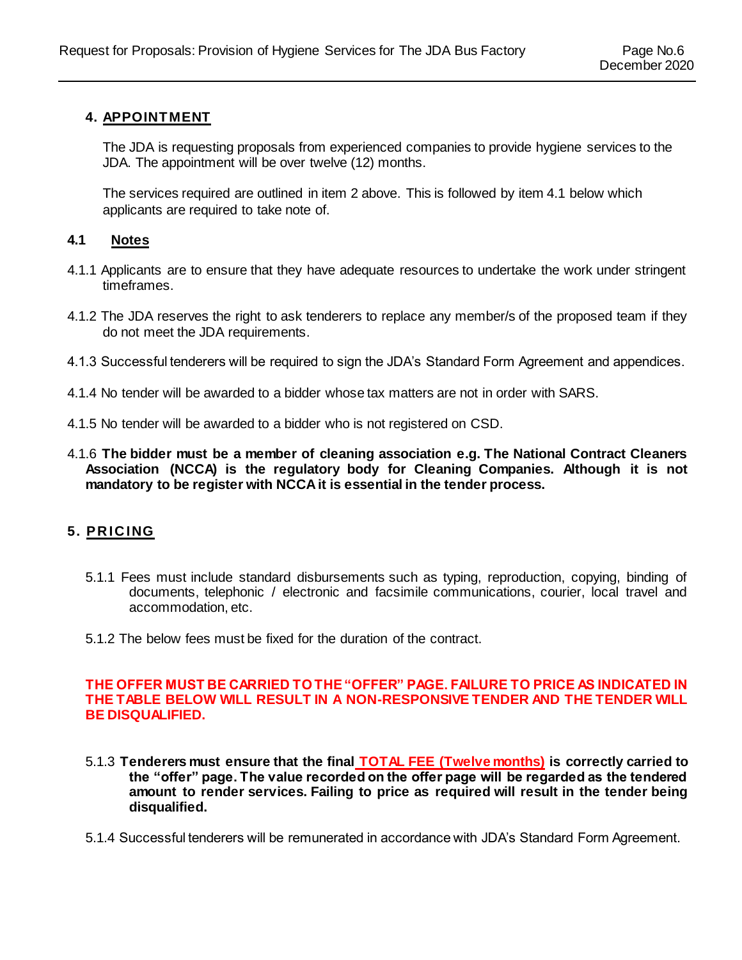#### **4. APPOINTMENT**

The JDA is requesting proposals from experienced companies to provide hygiene services to the JDA. The appointment will be over twelve (12) months.

The services required are outlined in item 2 above. This is followed by item 4.1 below which applicants are required to take note of.

#### **4.1 Notes**

- 4.1.1 Applicants are to ensure that they have adequate resources to undertake the work under stringent timeframes.
- 4.1.2 The JDA reserves the right to ask tenderers to replace any member/s of the proposed team if they do not meet the JDA requirements.
- 4.1.3 Successful tenderers will be required to sign the JDA's Standard Form Agreement and appendices.
- 4.1.4 No tender will be awarded to a bidder whose tax matters are not in order with SARS.
- 4.1.5 No tender will be awarded to a bidder who is not registered on CSD.
- 4.1.6 **The bidder must be a member of cleaning association e.g. The National Contract Cleaners Association (NCCA) is the regulatory body for Cleaning Companies. Although it is not mandatory to be register with NCCA it is essential in the tender process.**

#### **5. PR IC ING**

- 5.1.1 Fees must include standard disbursements such as typing, reproduction, copying, binding of documents, telephonic / electronic and facsimile communications, courier, local travel and accommodation, etc.
- 5.1.2 The below fees must be fixed for the duration of the contract.

#### **THE OFFER MUST BE CARRIED TO THE "OFFER" PAGE. FAILURE TO PRICE AS INDICATED IN THE TABLE BELOW WILL RESULT IN A NON-RESPONSIVE TENDER AND THE TENDER WILL BE DISQUALIFIED.**

- 5.1.3 **Tenderers must ensure that the final TOTAL FEE (Twelve months) is correctly carried to the "offer" page. The value recorded on the offer page will be regarded as the tendered amount to render services. Failing to price as required will result in the tender being disqualified.**
- 5.1.4 Successful tenderers will be remunerated in accordance with JDA's Standard Form Agreement.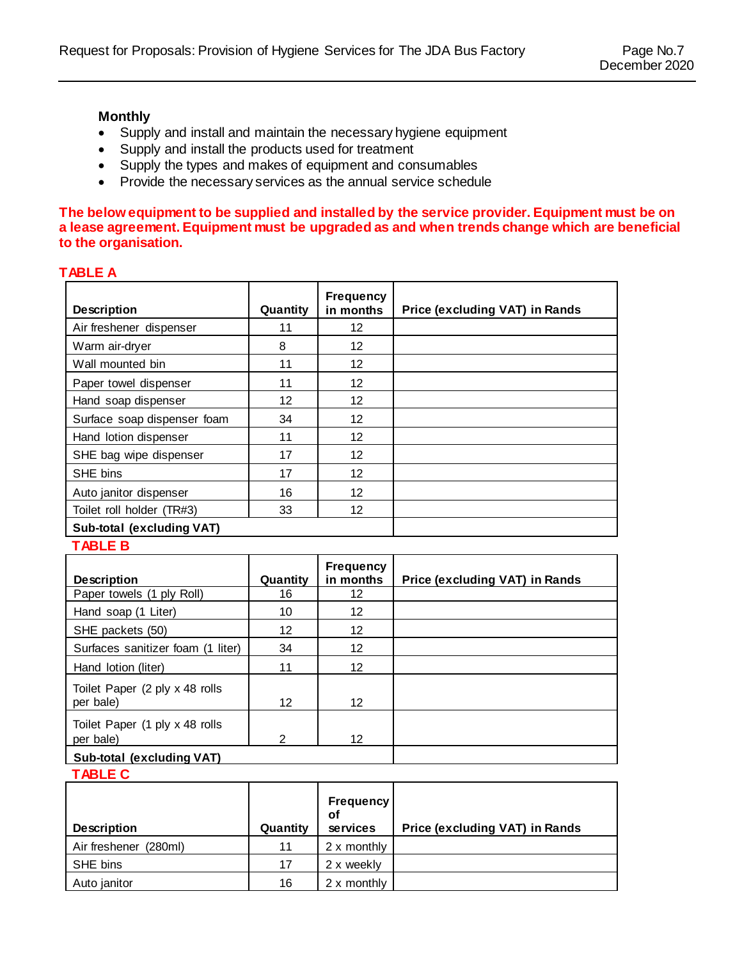#### **Monthly**

- Supply and install and maintain the necessary hygiene equipment
- Supply and install the products used for treatment
- Supply the types and makes of equipment and consumables
- Provide the necessary services as the annual service schedule

#### **The below equipment to be supplied and installed by the service provider. Equipment must be on a lease agreement. Equipment must be upgraded as and when trends change which are beneficial to the organisation.**

#### **TABLE A**

| <b>Description</b>          | Quantity | <b>Frequency</b><br>in months | Price (excluding VAT) in Rands |
|-----------------------------|----------|-------------------------------|--------------------------------|
| Air freshener dispenser     | 11       | 12                            |                                |
| Warm air-dryer              | 8        | 12                            |                                |
| Wall mounted bin            | 11       | 12                            |                                |
| Paper towel dispenser       | 11       | 12                            |                                |
| Hand soap dispenser         | 12       | 12                            |                                |
| Surface soap dispenser foam | 34       | 12                            |                                |
| Hand lotion dispenser       | 11       | 12                            |                                |
| SHE bag wipe dispenser      | 17       | 12                            |                                |
| SHE bins                    | 17       | 12                            |                                |
| Auto janitor dispenser      | 16       | 12                            |                                |
| Toilet roll holder (TR#3)   | 33       | 12                            |                                |
| Sub-total (excluding VAT)   |          |                               |                                |
| <b>TABLE B</b>              |          |                               |                                |

#### **TABLE B**

| <b>Description</b>                           | Quantity       | <b>Frequency</b><br>in months | Price (excluding VAT) in Rands |
|----------------------------------------------|----------------|-------------------------------|--------------------------------|
| Paper towels (1 ply Roll)                    | 16             | 12                            |                                |
| Hand soap (1 Liter)                          | 10             | 12                            |                                |
| SHE packets (50)                             | 12             | 12                            |                                |
| Surfaces sanitizer foam (1 liter)            | 34             | 12                            |                                |
| Hand lotion (liter)                          | 11             | 12                            |                                |
| Toilet Paper (2 ply x 48 rolls)<br>per bale) | 12             | 12                            |                                |
| Toilet Paper (1 ply x 48 rolls<br>per bale)  | $\mathfrak{p}$ | 12                            |                                |
| Sub-total (excluding VAT)                    |                |                               |                                |

**TABLE C**

| <b>Description</b>       | Quantity | <b>Frequency</b><br><b>of</b><br>services | <b>Price (excluding VAT) in Rands</b> |
|--------------------------|----------|-------------------------------------------|---------------------------------------|
| Air freshener<br>(280ml) | 11       | 2 x monthly                               |                                       |
| SHE bins                 | 17       | 2 x weekly                                |                                       |
| Auto janitor             | 16       | 2 x monthly                               |                                       |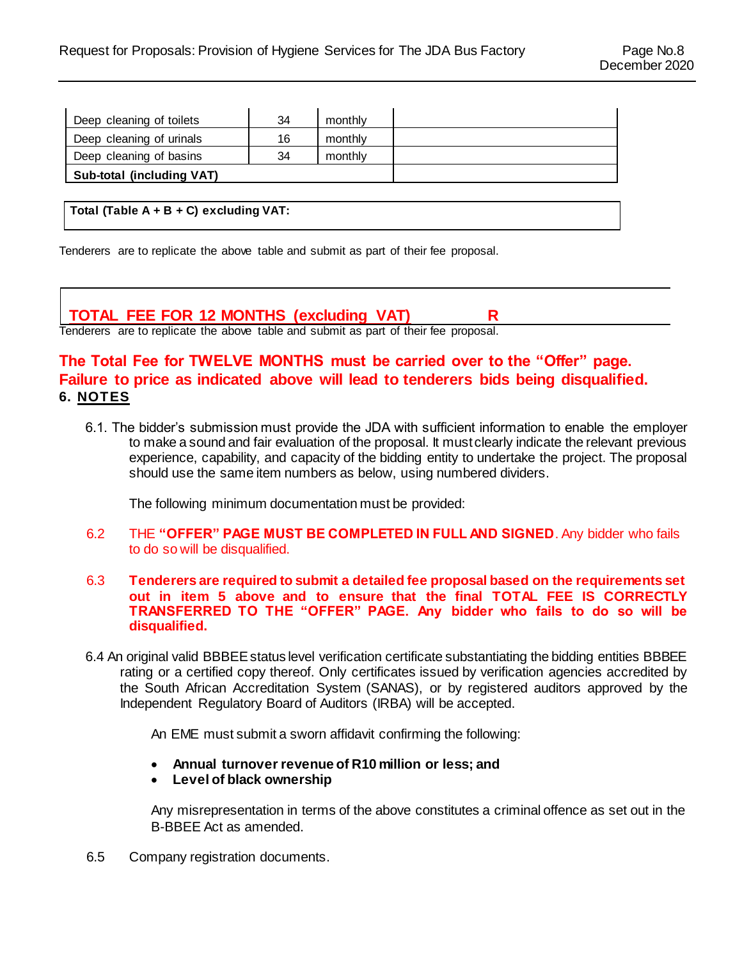| Deep cleaning of toilets  | 34 | monthly |  |
|---------------------------|----|---------|--|
| Deep cleaning of urinals  | 16 | monthly |  |
| Deep cleaning of basins   | 34 | monthly |  |
| Sub-total (including VAT) |    |         |  |

**Total (Table A + B + C) excluding VAT:**

Tenderers are to replicate the above table and submit as part of their fee proposal.

#### **TOTAL FEE FOR 12 MONTHS (excluding VAT) R**

Tenderers are to replicate the above table and submit as part of their fee proposal.

#### **The Total Fee for TWELVE MONTHS must be carried over to the "Offer" page. Failure to price as indicated above will lead to tenderers bids being disqualified. 6. NOTES**

6.1. The bidder's submission must provide the JDA with sufficient information to enable the employer to make a sound and fair evaluation of the proposal. It must clearly indicate the relevant previous experience, capability, and capacity of the bidding entity to undertake the project. The proposal should use the same item numbers as below, using numbered dividers.

The following minimum documentation must be provided:

- 6.2 THE **"OFFER" PAGE MUST BE COMPLETED IN FULL AND SIGNED**. Any bidder who fails to do so will be disqualified.
- 6.3 **Tenderers are required to submit a detailed fee proposal based on the requirements set out in item 5 above and to ensure that the final TOTAL FEE IS CORRECTLY TRANSFERRED TO THE "OFFER" PAGE. Any bidder who fails to do so will be disqualified.**
- 6.4 An original valid BBBEE status level verification certificate substantiating the bidding entities BBBEE rating or a certified copy thereof. Only certificates issued by verification agencies accredited by the South African Accreditation System (SANAS), or by registered auditors approved by the Independent Regulatory Board of Auditors (IRBA) will be accepted.

An EME must submit a sworn affidavit confirming the following:

- **Annual turnover revenue of R10 million or less; and**
- **Level of black ownership**

Any misrepresentation in terms of the above constitutes a criminal offence as set out in the B-BBEE Act as amended.

6.5 Company registration documents.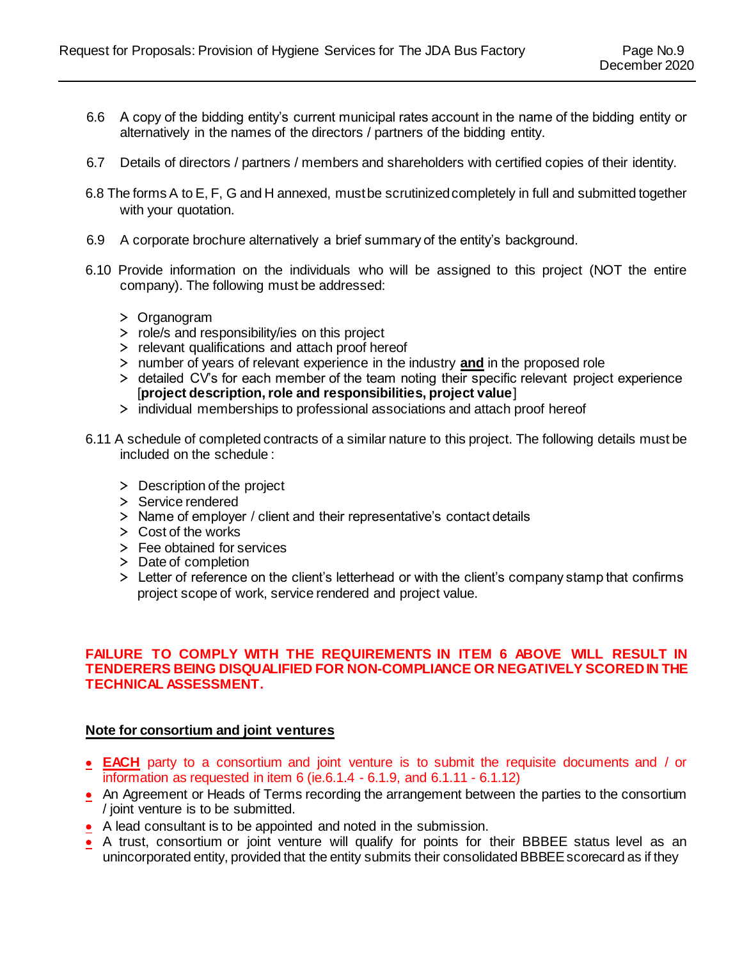- 6.6 A copy of the bidding entity's current municipal rates account in the name of the bidding entity or alternatively in the names of the directors / partners of the bidding entity.
- 6.7 Details of directors / partners / members and shareholders with certified copies of their identity.
- 6.8 The forms A to E, F, G and H annexed, must be scrutinized completely in full and submitted together with your quotation.
- 6.9 A corporate brochure alternatively a brief summary of the entity's background.
- 6.10 Provide information on the individuals who will be assigned to this project (NOT the entire company). The following must be addressed:
	- > Organogram
	- > role/s and responsibility/ies on this project
	- > relevant qualifications and attach proof hereof
	- > number of years of relevant experience in the industry **and** in the proposed role
	- > detailed CV's for each member of the team noting their specific relevant project experience [**project description, role and responsibilities, project value**]
	- > individual memberships to professional associations and attach proof hereof
- 6.11 A schedule of completed contracts of a similar nature to this project. The following details must be included on the schedule :
	- > Description of the project
	- > Service rendered
	- > Name of employer / client and their representative's contact details
	- > Cost of the works
	- > Fee obtained for services
	- > Date of completion
	- > Letter of reference on the client's letterhead or with the client's company stamp that confirms project scope of work, service rendered and project value.

#### **FAILURE TO COMPLY WITH THE REQUIREMENTS IN ITEM 6 ABOVE WILL RESULT IN TENDERERS BEING DISQUALIFIED FOR NON-COMPLIANCE OR NEGATIVELY SCORED IN THE TECHNICAL ASSESSMENT.**

#### **Note for consortium and joint ventures**

- **EACH** party to a consortium and joint venture is to submit the requisite documents and / or information as requested in item 6 (ie.6.1.4 - 6.1.9, and 6.1.11 - 6.1.12)
- An Agreement or Heads of Terms recording the arrangement between the parties to the consortium / joint venture is to be submitted.
- A lead consultant is to be appointed and noted in the submission.
- A trust, consortium or joint venture will qualify for points for their BBBEE status level as an unincorporated entity, provided that the entity submits their consolidated BBBEE scorecard as if they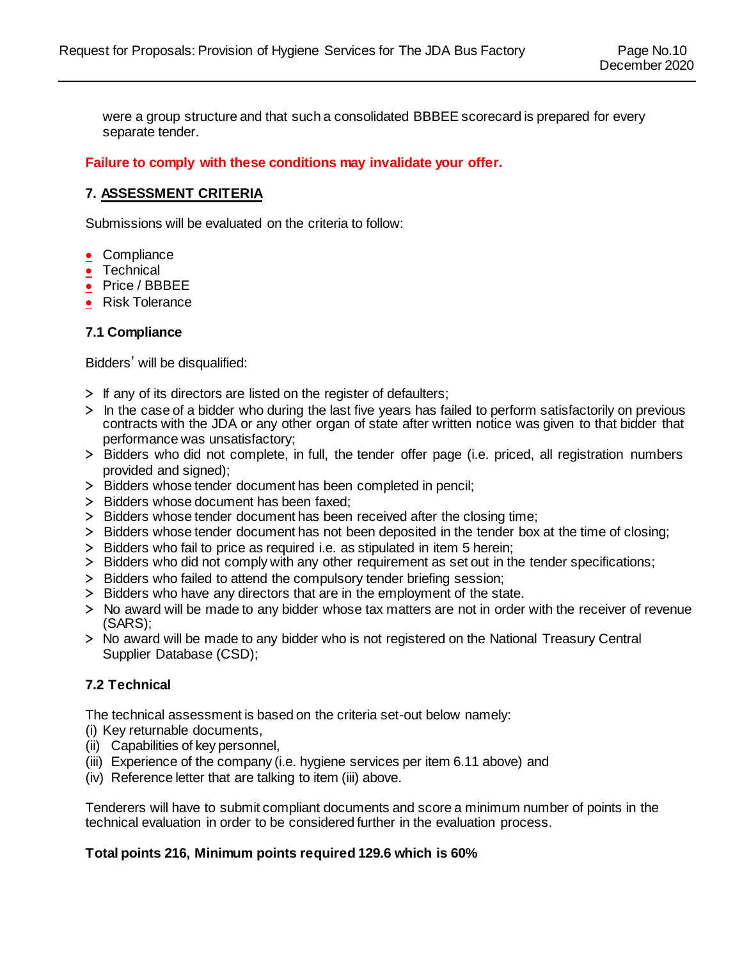were a group structure and that such a consolidated BBBEE scorecard is prepared for every separate tender.

**Failure to comply with these conditions may invalidate your offer.**

#### **7. ASSESSMENT CRITERIA**

Submissions will be evaluated on the criteria to follow:

- Compliance
- Technical
- Price / BBBEE
- Risk Tolerance

#### **7.1 Compliance**

Bidders' will be disqualified:

- > If any of its directors are listed on the register of defaulters;
- > In the case of a bidder who during the last five years has failed to perform satisfactorily on previous contracts with the JDA or any other organ of state after written notice was given to that bidder that performance was unsatisfactory;
- > Bidders who did not complete, in full, the tender offer page (i.e. priced, all registration numbers provided and signed);
- > Bidders whose tender document has been completed in pencil;
- > Bidders whose document has been faxed;
- > Bidders whose tender document has been received after the closing time;
- > Bidders whose tender document has not been deposited in the tender box at the time of closing;
- > Bidders who fail to price as required i.e. as stipulated in item 5 herein;
- > Bidders who did not comply with any other requirement as set out in the tender specifications;
- > Bidders who failed to attend the compulsory tender briefing session;
- > Bidders who have any directors that are in the employment of the state.
- > No award will be made to any bidder whose tax matters are not in order with the receiver of revenue (SARS);
- > No award will be made to any bidder who is not registered on the National Treasury Central Supplier Database (CSD);

#### **7.2 Technical**

The technical assessment is based on the criteria set-out below namely:

- (i) Key returnable documents,
- (ii) Capabilities of key personnel,
- (iii) Experience of the company (i.e. hygiene services per item 6.11 above) and
- (iv) Reference letter that are talking to item (iii) above.

Tenderers will have to submit compliant documents and score a minimum number of points in the technical evaluation in order to be considered further in the evaluation process.

#### **Total points 216, Minimum points required 129.6 which is 60%**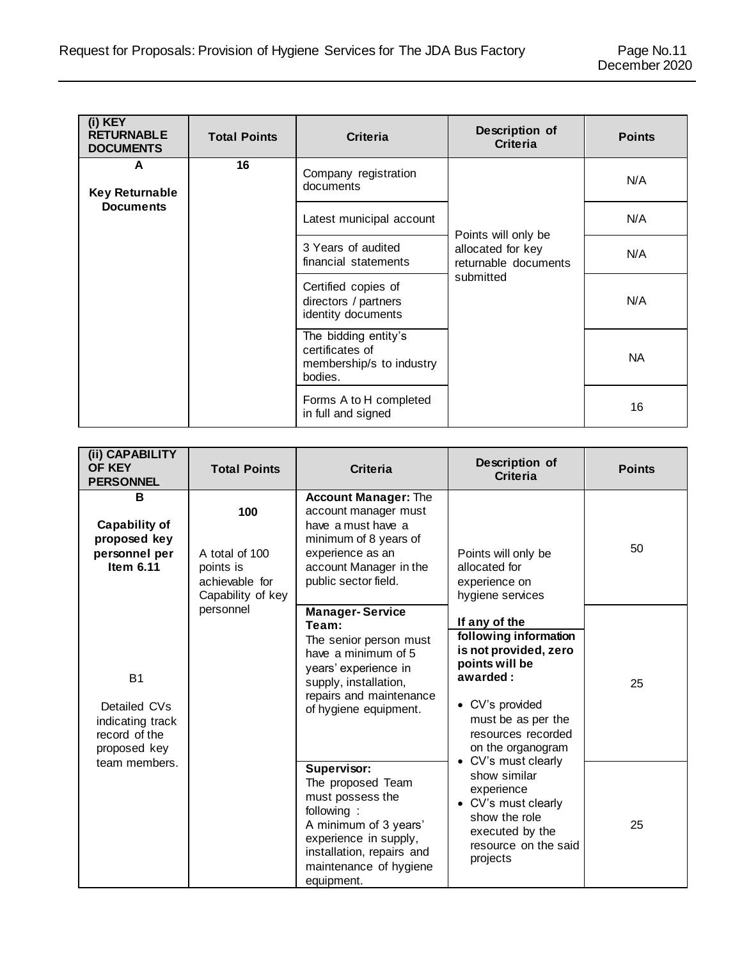| (i) KEY<br><b>RETURNABLE</b><br><b>DOCUMENTS</b> | <b>Total Points</b> | Criteria                                                                       | Description of<br><b>Criteria</b>                                | <b>Points</b> |
|--------------------------------------------------|---------------------|--------------------------------------------------------------------------------|------------------------------------------------------------------|---------------|
| A<br><b>Key Returnable</b>                       | 16                  | Company registration<br>documents                                              |                                                                  | N/A           |
| <b>Documents</b>                                 |                     | Latest municipal account                                                       |                                                                  | N/A           |
|                                                  |                     | 3 Years of audited<br>financial statements                                     | Points will only be<br>allocated for key<br>returnable documents | N/A           |
|                                                  |                     | Certified copies of<br>directors / partners<br>identity documents              | submitted                                                        | N/A           |
|                                                  |                     | The bidding entity's<br>certificates of<br>membership/s to industry<br>bodies. |                                                                  | NA.           |
|                                                  |                     | Forms A to H completed<br>in full and signed                                   |                                                                  | 16            |

| (ii) CAPABILITY<br>OF KEY<br><b>PERSONNEL</b>                                  | <b>Total Points</b>                                                       | <b>Criteria</b>                                                                                                                                                                           | Description of<br><b>Criteria</b>                                                                                                                                                 | <b>Points</b> |
|--------------------------------------------------------------------------------|---------------------------------------------------------------------------|-------------------------------------------------------------------------------------------------------------------------------------------------------------------------------------------|-----------------------------------------------------------------------------------------------------------------------------------------------------------------------------------|---------------|
| в<br><b>Capability of</b><br>proposed key<br>personnel per<br>Item 6.11        | 100<br>A total of 100<br>points is<br>achievable for<br>Capability of key | <b>Account Manager: The</b><br>account manager must<br>have a must have a<br>minimum of 8 years of<br>experience as an<br>account Manager in the<br>public sector field.                  | Points will only be<br>allocated for<br>experience on<br>hygiene services                                                                                                         | 50            |
| <b>B1</b><br>Detailed CVs<br>indicating track<br>record of the<br>proposed key | personnel                                                                 | <b>Manager-Service</b><br>Team:<br>The senior person must<br>have a minimum of 5<br>years' experience in<br>supply, installation,<br>repairs and maintenance<br>of hygiene equipment.     | If any of the<br>following information<br>is not provided, zero<br>points will be<br>awarded:<br>• CV's provided<br>must be as per the<br>resources recorded<br>on the organogram | 25            |
| team members.                                                                  |                                                                           | Supervisor:<br>The proposed Team<br>must possess the<br>following:<br>A minimum of 3 years'<br>experience in supply,<br>installation, repairs and<br>maintenance of hygiene<br>equipment. | CV's must clearly<br>$\bullet$<br>show similar<br>experience<br>• CV's must clearly<br>show the role<br>executed by the<br>resource on the said<br>projects                       | 25            |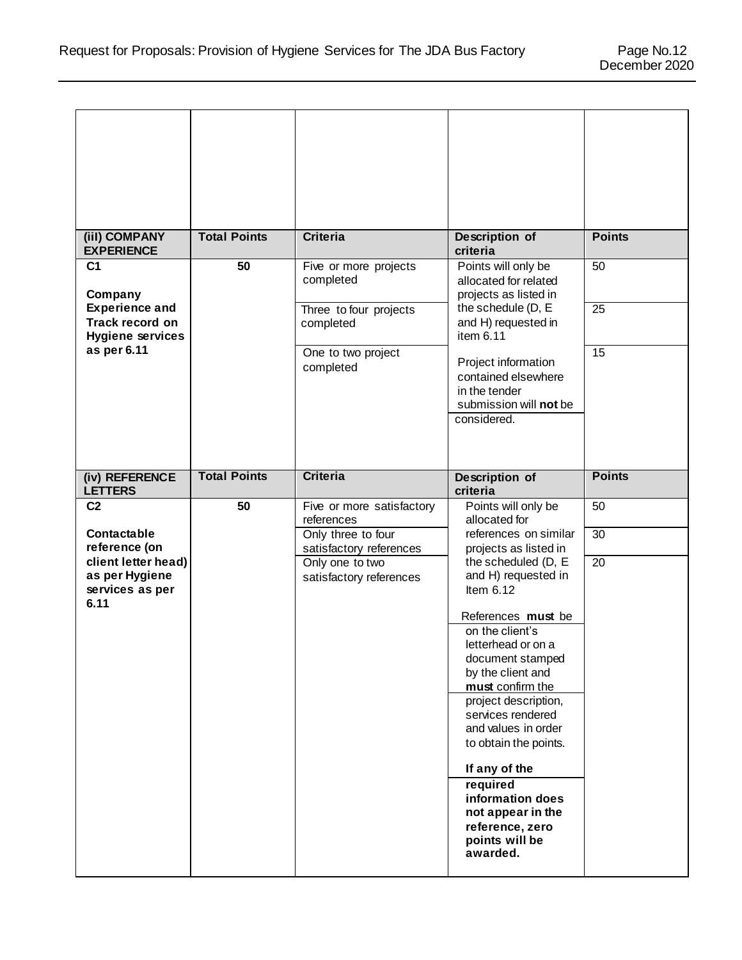| (iil) COMPANY<br><b>EXPERIENCE</b>                                  | <b>Total Points</b> | <b>Criteria</b>                               | Description of<br>criteria                                                                           | <b>Points</b>   |
|---------------------------------------------------------------------|---------------------|-----------------------------------------------|------------------------------------------------------------------------------------------------------|-----------------|
| C <sub>1</sub><br>Company                                           | 50                  | Five or more projects<br>completed            | Points will only be<br>allocated for related<br>projects as listed in                                | 50              |
| <b>Experience and</b><br>Track record on<br><b>Hygiene services</b> |                     | Three to four projects<br>completed           | the schedule (D, E<br>and H) requested in<br>item 6.11                                               | $\overline{25}$ |
| as per 6.11                                                         |                     | One to two project<br>completed               | Project information<br>contained elsewhere<br>in the tender<br>submission will not be<br>considered. | 15              |
| (iv) REFERENCE<br><b>LETTERS</b>                                    | <b>Total Points</b> | <b>Criteria</b>                               | Description of<br>criteria                                                                           | <b>Points</b>   |
| C <sub>2</sub>                                                      | 50                  |                                               |                                                                                                      |                 |
|                                                                     |                     | Five or more satisfactory<br>references       | Points will only be<br>allocated for                                                                 | 50              |
| Contactable<br>reference (on                                        |                     | Only three to four<br>satisfactory references | references on similar<br>projects as listed in                                                       | 30              |
| client letter head)<br>as per Hygiene<br>services as per            |                     | Only one to two<br>satisfactory references    | the scheduled (D, E<br>and H) requested in<br>Item $6.12$                                            | 20              |
| 6.11                                                                |                     |                                               | References must be                                                                                   |                 |
|                                                                     |                     |                                               | on the client's<br>letterhead or on a<br>document stamped                                            |                 |
|                                                                     |                     |                                               | by the client and<br>must confirm the<br>project description,<br>services rendered                   |                 |
|                                                                     |                     |                                               | and values in order<br>to obtain the points.                                                         |                 |
|                                                                     |                     |                                               | If any of the<br>required                                                                            |                 |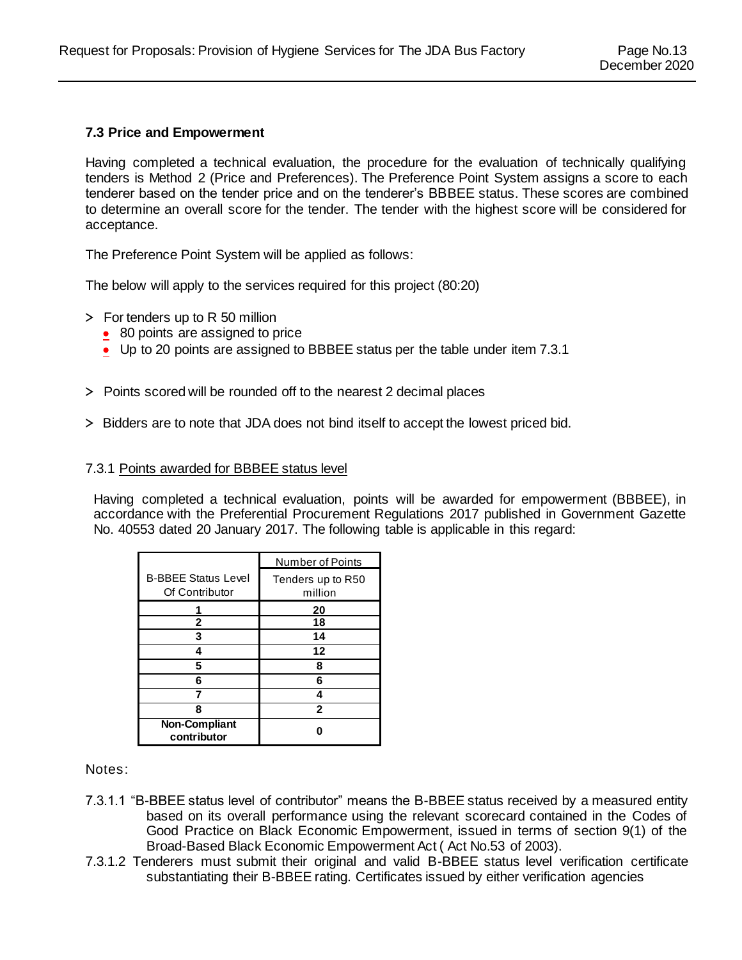#### **7.3 Price and Empowerment**

Having completed a technical evaluation, the procedure for the evaluation of technically qualifying tenders is Method 2 (Price and Preferences). The Preference Point System assigns a score to each tenderer based on the tender price and on the tenderer's BBBEE status. These scores are combined to determine an overall score for the tender. The tender with the highest score will be considered for acceptance.

The Preference Point System will be applied as follows:

The below will apply to the services required for this project (80:20)

- > For tenders up to R 50 million
	- 80 points are assigned to price
	- Up to 20 points are assigned to BBBEE status per the table under item 7.3.1
- > Points scored will be rounded off to the nearest 2 decimal places
- > Bidders are to note that JDA does not bind itself to accept the lowest priced bid.

#### 7.3.1 Points awarded for BBBEE status level

Having completed a technical evaluation, points will be awarded for empowerment (BBBEE), in accordance with the Preferential Procurement Regulations 2017 published in Government Gazette No. 40553 dated 20 January 2017. The following table is applicable in this regard:

|                                              | Number of Points             |
|----------------------------------------------|------------------------------|
| <b>B-BBEE Status Level</b><br>Of Contributor | Tenders up to R50<br>million |
|                                              | 20                           |
| 2                                            | 18                           |
| 3                                            | 14                           |
| 4                                            | 12                           |
| 5                                            | 8                            |
| 6                                            | 6                            |
|                                              |                              |
| ឧ                                            | $\mathbf 2$                  |
| <b>Non-Compliant</b><br>contributor          |                              |

Notes:

- 7.3.1.1 "B-BBEE status level of contributor" means the B-BBEE status received by a measured entity based on its overall performance using the relevant scorecard contained in the Codes of Good Practice on Black Economic Empowerment, issued in terms of section 9(1) of the Broad-Based Black Economic Empowerment Act ( Act No.53 of 2003).
- 7.3.1.2 Tenderers must submit their original and valid B-BBEE status level verification certificate substantiating their B-BBEE rating. Certificates issued by either verification agencies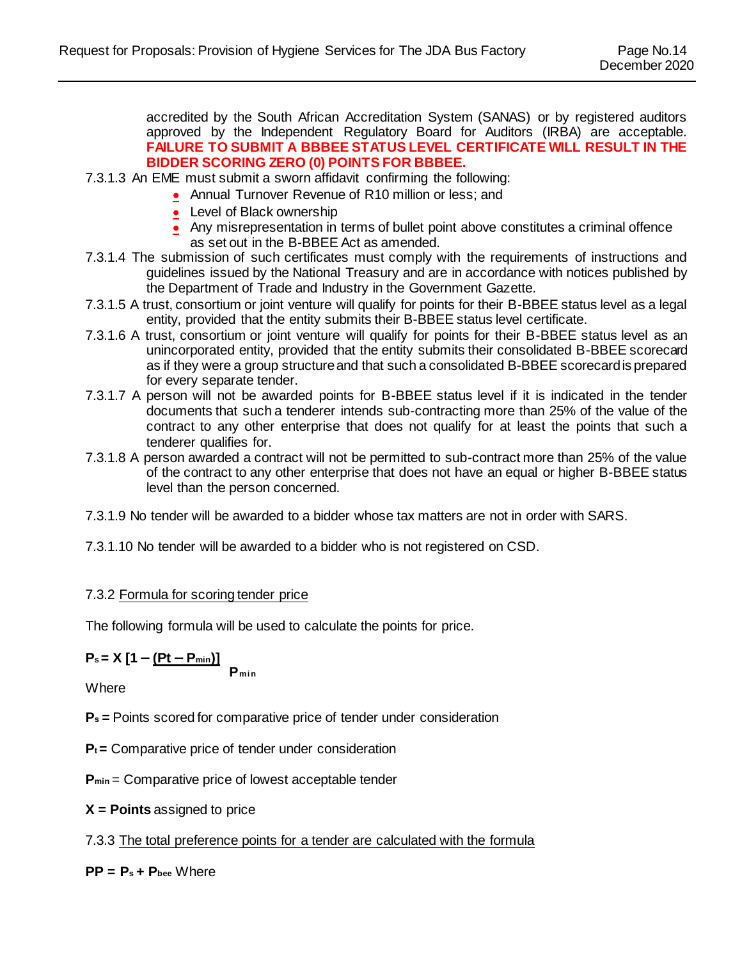accredited by the South African Accreditation System (SANAS) or by registered auditors approved by the Independent Regulatory Board for Auditors (IRBA) are acceptable. **FAILURE TO SUBMIT A BBBEE STATUS LEVEL CERTIFICATE WILL RESULT IN THE BIDDER SCORING ZERO (0) POINTS FOR BBBEE.**

- 7.3.1.3 An EME must submit a sworn affidavit confirming the following:
	- Annual Turnover Revenue of R10 million or less; and
	- Level of Black ownership
	- Any misrepresentation in terms of bullet point above constitutes a criminal offence as set out in the B-BBEE Act as amended.
- 7.3.1.4 The submission of such certificates must comply with the requirements of instructions and guidelines issued by the National Treasury and are in accordance with notices published by the Department of Trade and Industry in the Government Gazette.
- 7.3.1.5 A trust, consortium or joint venture will qualify for points for their B-BBEE status level as a legal entity, provided that the entity submits their B-BBEE status level certificate.
- 7.3.1.6 A trust, consortium or joint venture will qualify for points for their B-BBEE status level as an unincorporated entity, provided that the entity submits their consolidated B-BBEE scorecard as if they were a group structure and that such a consolidated B-BBEE scorecard is prepared for every separate tender.
- 7.3.1.7 A person will not be awarded points for B-BBEE status level if it is indicated in the tender documents that such a tenderer intends sub-contracting more than 25% of the value of the contract to any other enterprise that does not qualify for at least the points that such a tenderer qualifies for.
- 7.3.1.8 A person awarded a contract will not be permitted to sub-contract more than 25% of the value of the contract to any other enterprise that does not have an equal or higher B-BBEE status level than the person concerned.
- 7.3.1.9 No tender will be awarded to a bidder whose tax matters are not in order with SARS.
- 7.3.1.10 No tender will be awarded to a bidder who is not registered on CSD.

#### 7.3.2 Formula for scoring tender price

The following formula will be used to calculate the points for price.

$$
P_s = X [1 - (Pt - P_{min})]
$$
  
P<sub>min</sub>

Where

**Ps =** Points scored for comparative price of tender under consideration

 $P_t$  = Comparative price of tender under consideration

**Pmin** = Comparative price of lowest acceptable tender

**X = Points** assigned to price

7.3.3 The total preference points for a tender are calculated with the formula

 $PP = P_s + P_{\text{bee}}$  Where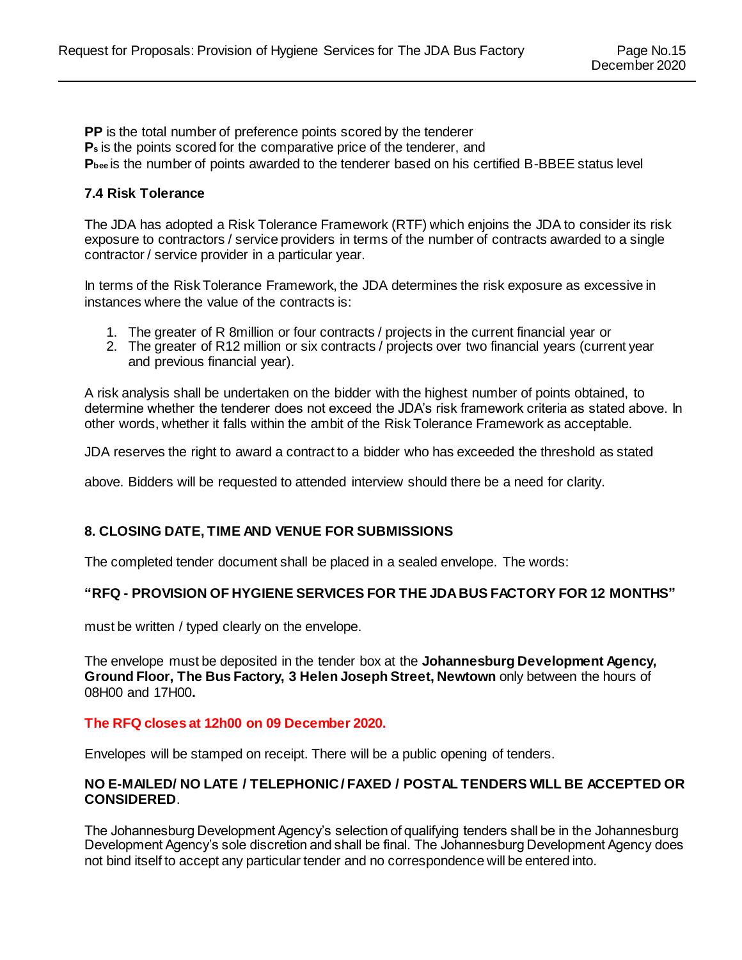**PP** is the total number of preference points scored by the tenderer **Ps** is the points scored for the comparative price of the tenderer, and **Pbee** is the number of points awarded to the tenderer based on his certified B-BBEE status level

#### **7.4 Risk Tolerance**

The JDA has adopted a Risk Tolerance Framework (RTF) which enjoins the JDA to consider its risk exposure to contractors / service providers in terms of the number of contracts awarded to a single contractor / service provider in a particular year.

In terms of the Risk Tolerance Framework, the JDA determines the risk exposure as excessive in instances where the value of the contracts is:

- 1. The greater of R 8million or four contracts / projects in the current financial year or
- 2. The greater of R12 million or six contracts / projects over two financial years (current year and previous financial year).

A risk analysis shall be undertaken on the bidder with the highest number of points obtained, to determine whether the tenderer does not exceed the JDA's risk framework criteria as stated above. In other words, whether it falls within the ambit of the Risk Tolerance Framework as acceptable.

JDA reserves the right to award a contract to a bidder who has exceeded the threshold as stated

above. Bidders will be requested to attended interview should there be a need for clarity.

#### **8. CLOSING DATE, TIME AND VENUE FOR SUBMISSIONS**

The completed tender document shall be placed in a sealed envelope. The words:

#### **"RFQ - PROVISION OF HYGIENE SERVICES FOR THE JDA BUS FACTORY FOR 12 MONTHS"**

must be written / typed clearly on the envelope.

The envelope must be deposited in the tender box at the **Johannesburg Development Agency, Ground Floor, The Bus Factory, 3 Helen Joseph Street, Newtown** only between the hours of 08H00 and 17H00**.**

#### **The RFQ closes at 12h00 on 09 December 2020.**

Envelopes will be stamped on receipt. There will be a public opening of tenders.

#### **NO E-MAILED/ NO LATE / TELEPHONIC / FAXED / POSTAL TENDERS WILL BE ACCEPTED OR CONSIDERED**.

The Johannesburg Development Agency's selection of qualifying tenders shall be in the Johannesburg Development Agency's sole discretion and shall be final. The Johannesburg Development Agency does not bind itself to accept any particular tender and no correspondence will be entered into.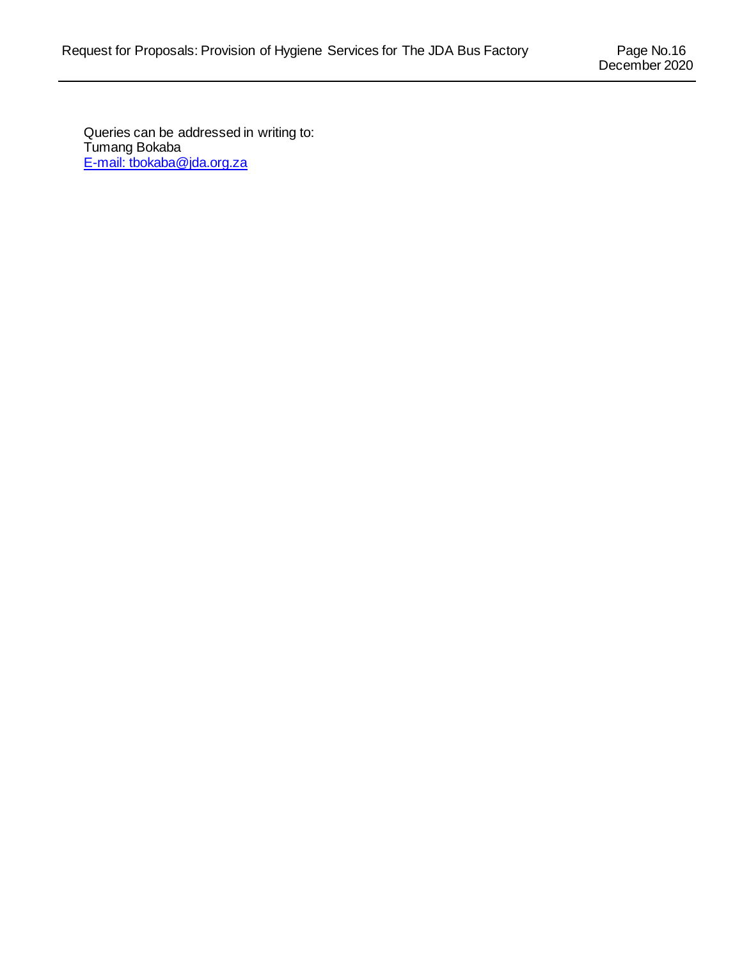Queries can be addressed in writing to: Tumang Bokaba [E-mail:](mailto:tbokaba@jda.org.za) tbokaba@jda.org.za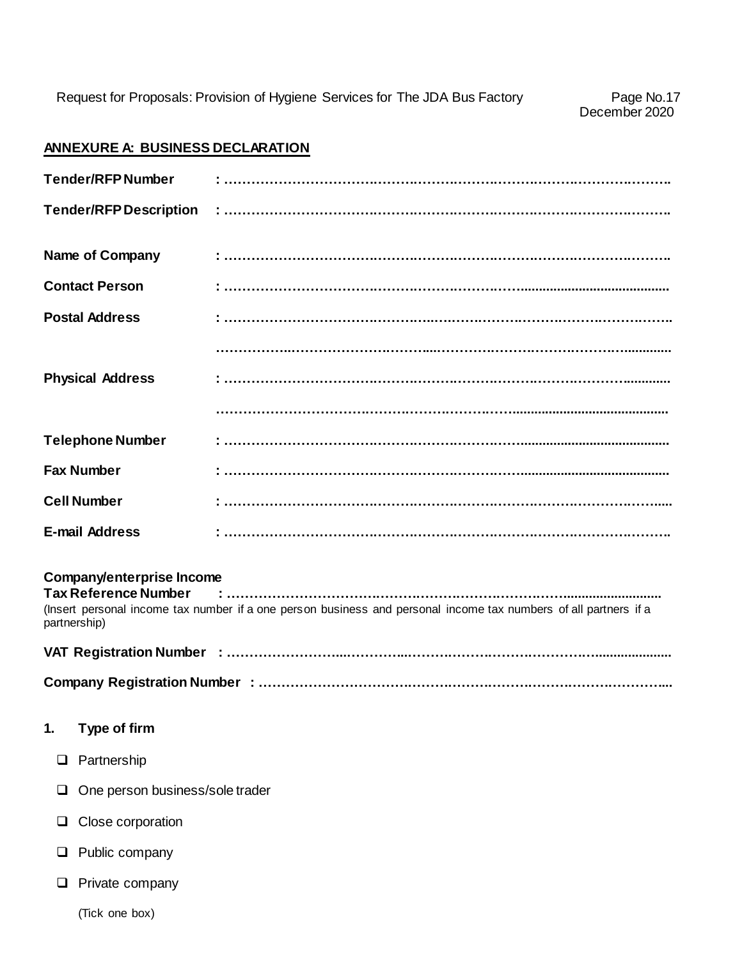#### **ANNEXURE A: BUSINESS DECLARATION**

|          | <b>Tender/RFP Number</b>                                                        |                                                                                                                  |
|----------|---------------------------------------------------------------------------------|------------------------------------------------------------------------------------------------------------------|
|          | <b>Tender/RFP Description</b>                                                   |                                                                                                                  |
|          | <b>Name of Company</b>                                                          |                                                                                                                  |
|          | <b>Contact Person</b>                                                           |                                                                                                                  |
|          | <b>Postal Address</b>                                                           |                                                                                                                  |
|          |                                                                                 |                                                                                                                  |
|          | <b>Physical Address</b>                                                         |                                                                                                                  |
|          |                                                                                 |                                                                                                                  |
|          | <b>Telephone Number</b>                                                         |                                                                                                                  |
|          | <b>Fax Number</b>                                                               |                                                                                                                  |
|          | <b>Cell Number</b>                                                              |                                                                                                                  |
|          | <b>E-mail Address</b>                                                           |                                                                                                                  |
|          |                                                                                 |                                                                                                                  |
|          | <b>Company/enterprise Income</b><br><b>Tax Reference Number</b><br>partnership) | (Insert personal income tax number if a one person business and personal income tax numbers of all partners if a |
|          |                                                                                 |                                                                                                                  |
|          |                                                                                 |                                                                                                                  |
| 1.       | Type of firm                                                                    |                                                                                                                  |
| ❏        | Partnership                                                                     |                                                                                                                  |
| $\sqcup$ | One person business/sole trader                                                 |                                                                                                                  |
|          | Close corporation                                                               |                                                                                                                  |
| ⊔        | Public company                                                                  |                                                                                                                  |
|          | Private company                                                                 |                                                                                                                  |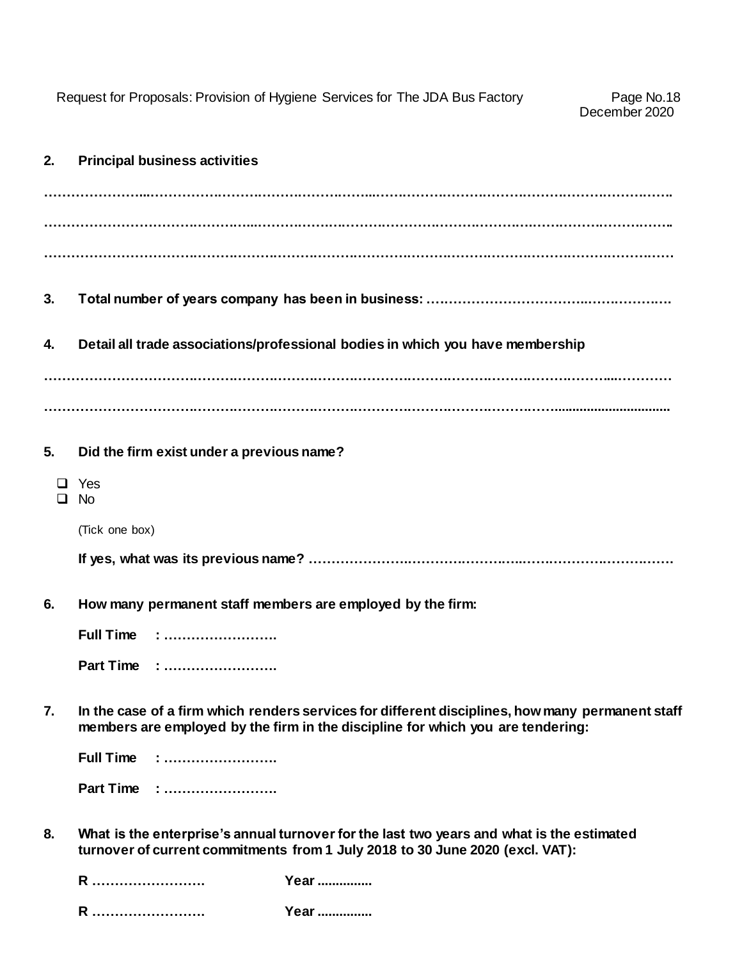Request for Proposals: Provision of Hygiene Services for The JDA Bus Factory

| 2.     | <b>Principal business activities</b>                                                                                                                                                |
|--------|-------------------------------------------------------------------------------------------------------------------------------------------------------------------------------------|
|        |                                                                                                                                                                                     |
|        |                                                                                                                                                                                     |
|        |                                                                                                                                                                                     |
| 3.     |                                                                                                                                                                                     |
| 4.     | Detail all trade associations/professional bodies in which you have membership                                                                                                      |
|        |                                                                                                                                                                                     |
|        |                                                                                                                                                                                     |
| 5.     | Did the firm exist under a previous name?                                                                                                                                           |
| $\Box$ | Yes<br><b>No</b>                                                                                                                                                                    |
|        | (Tick one box)                                                                                                                                                                      |
|        |                                                                                                                                                                                     |
| 6.     | How many permanent staff members are employed by the firm:                                                                                                                          |
|        | <b>Full Time : </b>                                                                                                                                                                 |
|        | Part Time :                                                                                                                                                                         |
| 7.     | In the case of a firm which renders services for different disciplines, how many permanent staff<br>members are employed by the firm in the discipline for which you are tendering: |
|        | <b>Full Time</b>                                                                                                                                                                    |
|        | Part Time :                                                                                                                                                                         |
| 8.     | What is the enterprise's annual turnover for the last two years and what is the estimated<br>turnover of current commitments from 1 July 2018 to 30 June 2020 (excl. VAT):          |
|        |                                                                                                                                                                                     |

**R ……………………. Year ...............** 

**R ……………………. Year ...............**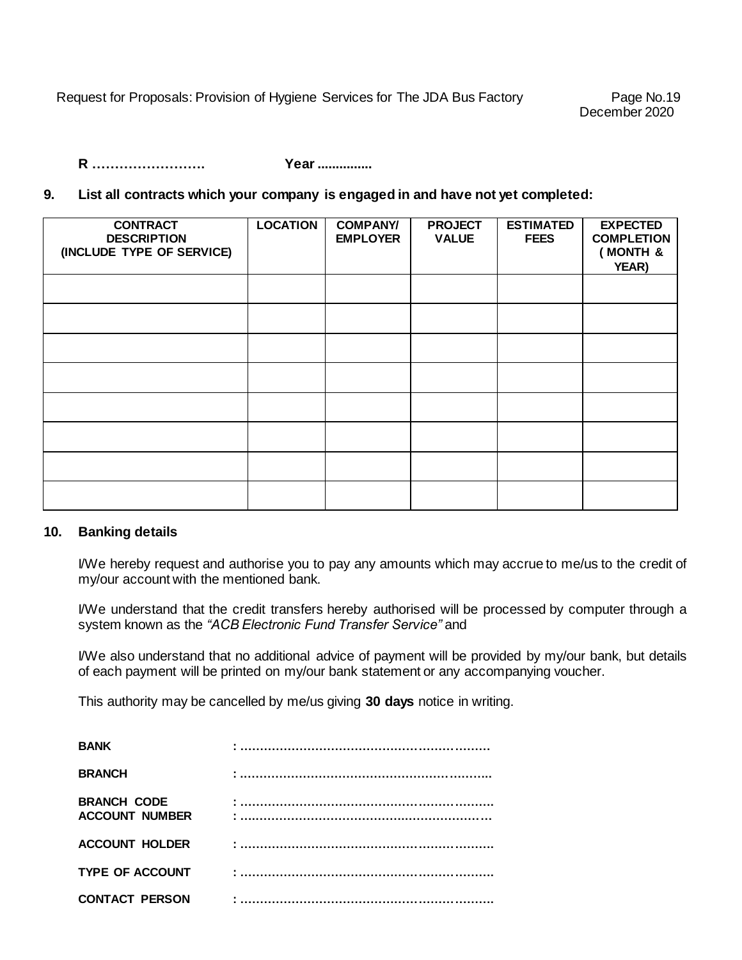Request for Proposals: Provision of Hygiene Services for The JDA Bus Factory Page No.19

**R ……………………. Year ...............** 

#### **9. List all contracts which your company is engaged in and have not yet completed:**

| <b>CONTRACT</b><br><b>DESCRIPTION</b><br>(INCLUDE TYPE OF SERVICE) | <b>LOCATION</b> | <b>COMPANY/</b><br><b>EMPLOYER</b> | <b>PROJECT</b><br><b>VALUE</b> | <b>ESTIMATED</b><br><b>FEES</b> | <b>EXPECTED</b><br><b>COMPLETION</b><br>(MONTH &<br>YEAR) |
|--------------------------------------------------------------------|-----------------|------------------------------------|--------------------------------|---------------------------------|-----------------------------------------------------------|
|                                                                    |                 |                                    |                                |                                 |                                                           |
|                                                                    |                 |                                    |                                |                                 |                                                           |
|                                                                    |                 |                                    |                                |                                 |                                                           |
|                                                                    |                 |                                    |                                |                                 |                                                           |
|                                                                    |                 |                                    |                                |                                 |                                                           |
|                                                                    |                 |                                    |                                |                                 |                                                           |
|                                                                    |                 |                                    |                                |                                 |                                                           |
|                                                                    |                 |                                    |                                |                                 |                                                           |

#### **10. Banking details**

I/We hereby request and authorise you to pay any amounts which may accrue to me/us to the credit of my/our account with the mentioned bank.

I/We understand that the credit transfers hereby authorised will be processed by computer through a system known as the *"ACB Electronic Fund Transfer Service"* and

I/We also understand that no additional advice of payment will be provided by my/our bank, but details of each payment will be printed on my/our bank statement or any accompanying voucher.

This authority may be cancelled by me/us giving **30 days** notice in writing.

| <b>BANK</b>                                 |  |
|---------------------------------------------|--|
| <b>BRANCH</b>                               |  |
| <b>BRANCH CODE</b><br><b>ACCOUNT NUMBER</b> |  |
| <b>ACCOUNT HOLDER</b>                       |  |
| <b>TYPE OF ACCOUNT</b>                      |  |
| <b>CONTACT PERSON</b>                       |  |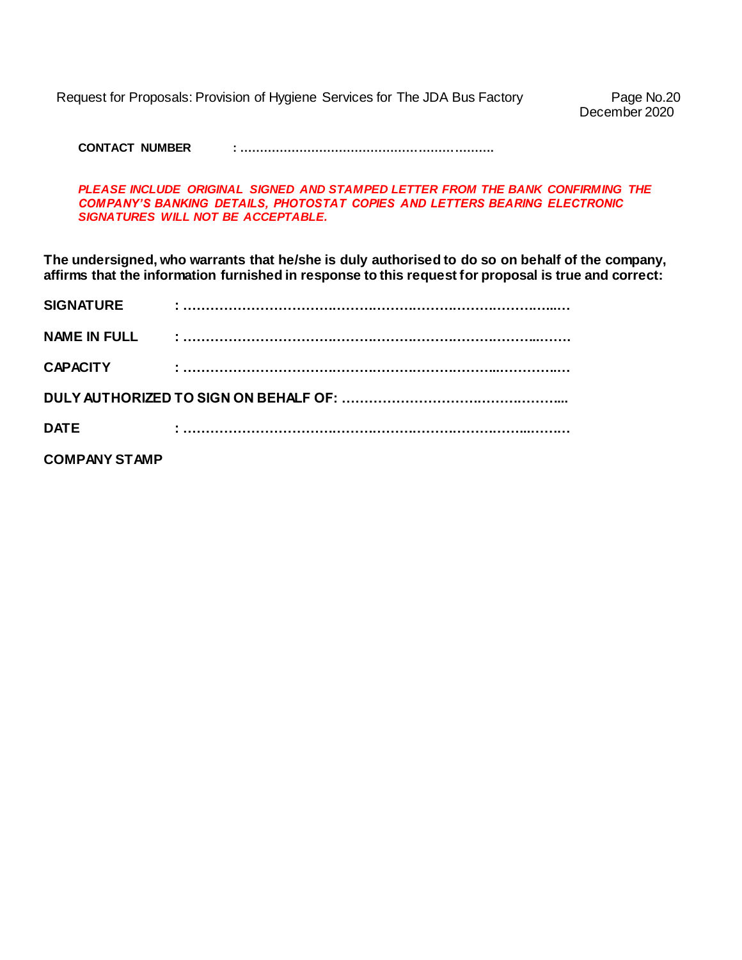Request for Proposals: Provision of Hygiene Services for The JDA Bus Factory Page No.20

December 2020

**CONTACT NUMBER : ……………………………………………………….**

PLEASE INCLUDE ORIGINAL SIGNED AND STAMPED LETTER FROM THE BANK CONFIRMING THE *COMPANY'S BANKING DETAILS, PHOTOSTAT COPIES AND LETTERS BEARING ELECTRONIC SIGNATURES WILL NOT BE ACCEPTABLE.*

**The undersigned, who warrants that he/she is duly authorised to do so on behalf of the company, affirms that the information furnished in response to this request for proposal is true and correct:**

| <b>SIGNATURE</b>     |  |
|----------------------|--|
| <b>NAME IN FULL</b>  |  |
| <b>CAPACITY</b>      |  |
|                      |  |
| <b>DATE</b>          |  |
| <b>COMPANY STAMP</b> |  |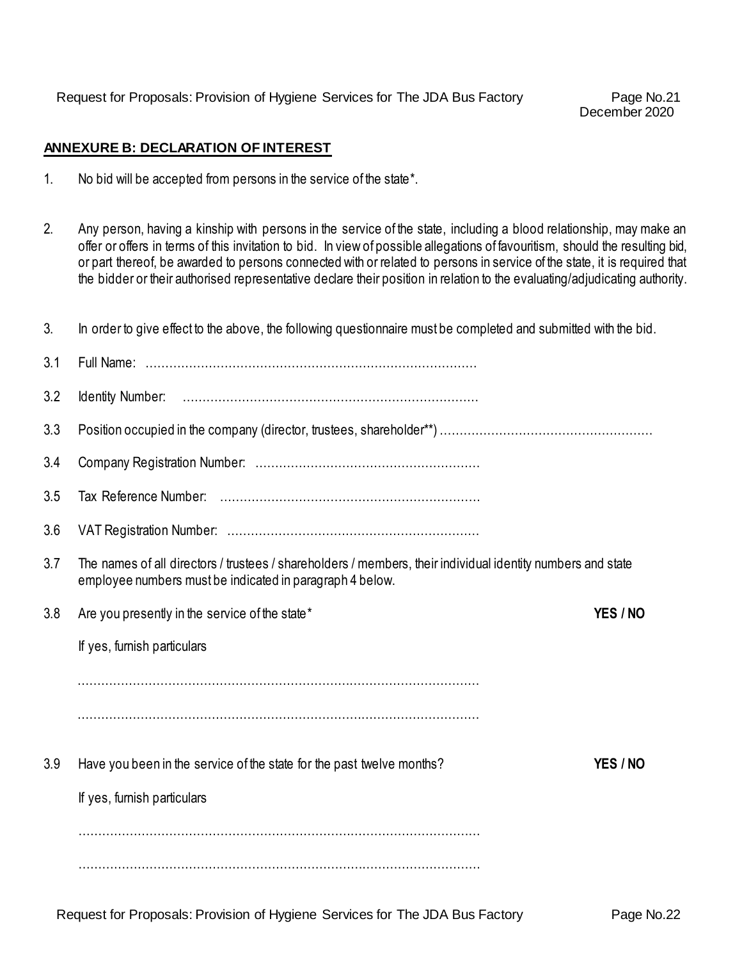December 2020

#### **ANNEXURE B: DECLARATION OF INTEREST**

- 1. No bid will be accepted from persons in the service of the state\*.
- 2. Any person, having a kinship with persons in the service of the state, including a blood relationship, may make an offer or offers in terms of this invitation to bid. In view of possible allegations of favouritism, should the resulting bid, or part thereof, be awarded to persons connected with or related to persons in service of the state, it is required that the bidder or their authorised representative declare their position in relation to the evaluating/adjudicating authority.

| 3.  | In order to give effect to the above, the following questionnaire must be completed and submitted with the bid.                                                         |  |  |
|-----|-------------------------------------------------------------------------------------------------------------------------------------------------------------------------|--|--|
| 3.1 |                                                                                                                                                                         |  |  |
| 3.2 |                                                                                                                                                                         |  |  |
| 3.3 |                                                                                                                                                                         |  |  |
| 3.4 |                                                                                                                                                                         |  |  |
| 3.5 |                                                                                                                                                                         |  |  |
| 3.6 |                                                                                                                                                                         |  |  |
| 3.7 | The names of all directors / trustees / shareholders / members, their individual identity numbers and state<br>employee numbers must be indicated in paragraph 4 below. |  |  |
| 3.8 | Are you presently in the service of the state*<br>YES / NO                                                                                                              |  |  |
|     | If yes, furnish particulars                                                                                                                                             |  |  |
|     |                                                                                                                                                                         |  |  |
|     |                                                                                                                                                                         |  |  |
| 3.9 | Have you been in the service of the state for the past twelve months?<br>YES / NO                                                                                       |  |  |
|     | If yes, furnish particulars                                                                                                                                             |  |  |
|     |                                                                                                                                                                         |  |  |
|     |                                                                                                                                                                         |  |  |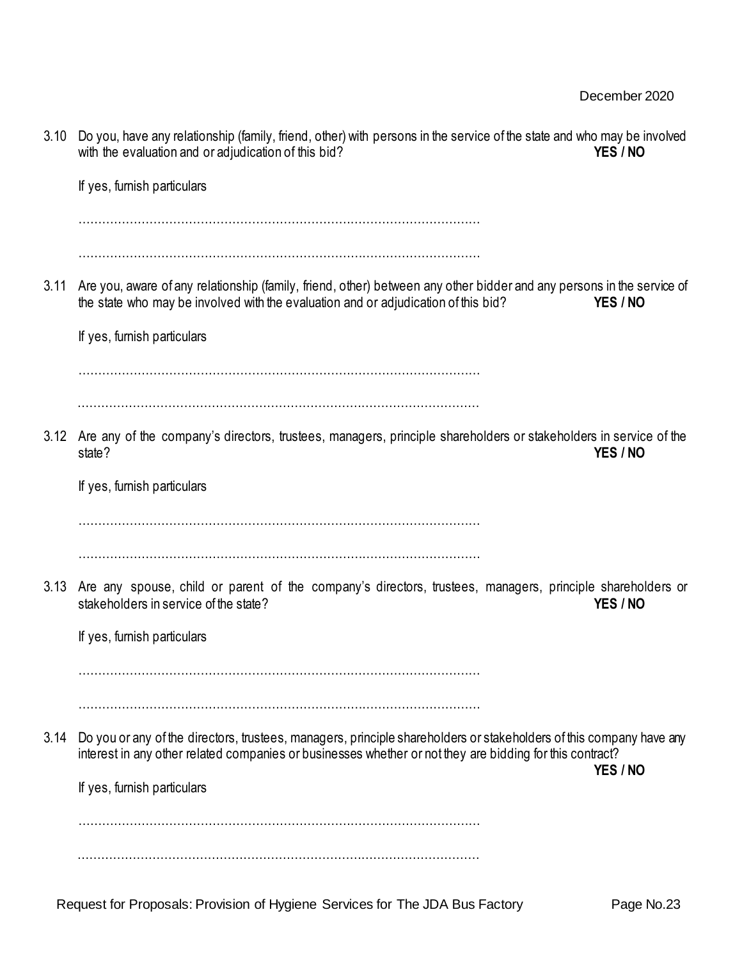| 3.10 | Do you, have any relationship (family, friend, other) with persons in the service of the state and who may be involved<br>with the evaluation and or adjudication of this bid?<br>YES / NO                                      |
|------|---------------------------------------------------------------------------------------------------------------------------------------------------------------------------------------------------------------------------------|
|      | If yes, furnish particulars                                                                                                                                                                                                     |
|      |                                                                                                                                                                                                                                 |
| 3.11 | Are you, aware of any relationship (family, friend, other) between any other bidder and any persons in the service of<br>the state who may be involved with the evaluation and or adjudication of this bid?<br>YES / NO         |
|      | If yes, furnish particulars                                                                                                                                                                                                     |
|      |                                                                                                                                                                                                                                 |
| 3.12 | Are any of the company's directors, trustees, managers, principle shareholders or stakeholders in service of the<br>YES / NO<br>state?                                                                                          |
|      | If yes, furnish particulars                                                                                                                                                                                                     |
| 3.13 | Are any spouse, child or parent of the company's directors, trustees, managers, principle shareholders or<br>stakeholders in service of the state?<br>YES / NO                                                                  |
|      | If yes, furnish particulars                                                                                                                                                                                                     |
| 3.14 | Do you or any of the directors, trustees, managers, principle shareholders or stakeholders of this company have any<br>interest in any other related companies or businesses whether or not they are bidding for this contract? |
|      | YES / NO<br>If yes, furnish particulars                                                                                                                                                                                         |
|      |                                                                                                                                                                                                                                 |
|      |                                                                                                                                                                                                                                 |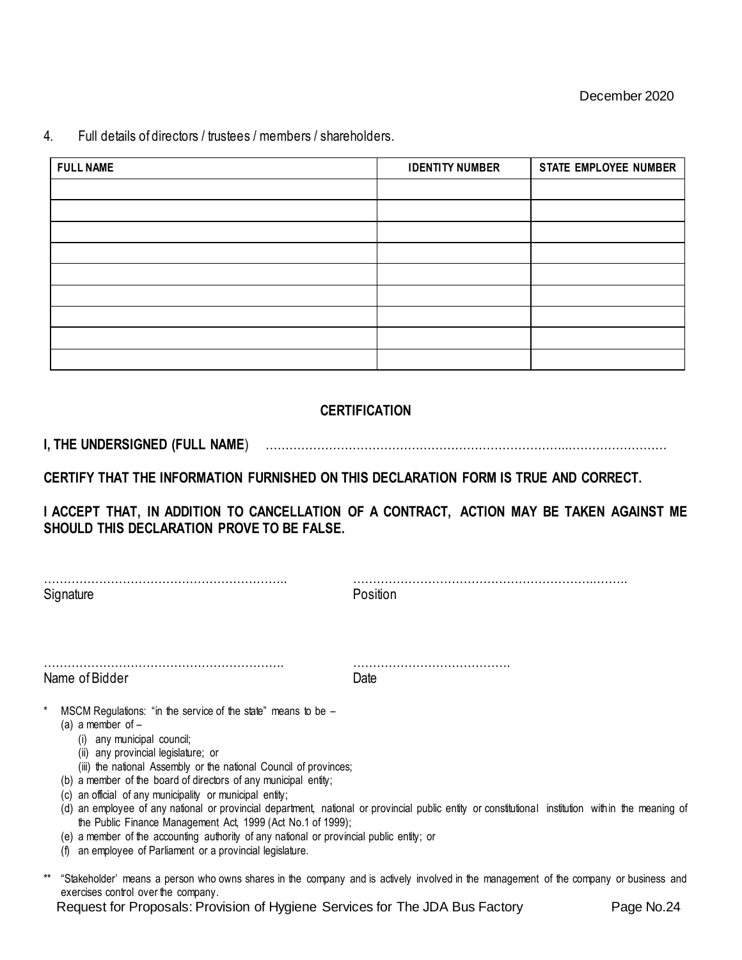4. Full details of directors / trustees / members / shareholders.

| <b>FULL NAME</b> | <b>IDENTITY NUMBER</b> | STATE EMPLOYEE NUMBER |
|------------------|------------------------|-----------------------|
|                  |                        |                       |
|                  |                        |                       |
|                  |                        |                       |
|                  |                        |                       |
|                  |                        |                       |
|                  |                        |                       |
|                  |                        |                       |
|                  |                        |                       |
|                  |                        |                       |

#### **CERTIFICATION**

**I, THE UNDERSIGNED (FULL NAME**) …………………………………………………………………...……………………

**CERTIFY THAT THE INFORMATION FURNISHED ON THIS DECLARATION FORM IS TRUE AND CORRECT.** 

**I ACCEPT THAT, IN ADDITION TO CANCELLATION OF A CONTRACT, ACTION MAY BE TAKEN AGAINST ME SHOULD THIS DECLARATION PROVE TO BE FALSE.** 

| Signature                                                                                                                                                                                                                                                                                                                                                       | Position                                                                                                                                           |  |
|-----------------------------------------------------------------------------------------------------------------------------------------------------------------------------------------------------------------------------------------------------------------------------------------------------------------------------------------------------------------|----------------------------------------------------------------------------------------------------------------------------------------------------|--|
|                                                                                                                                                                                                                                                                                                                                                                 |                                                                                                                                                    |  |
| Name of Bidder                                                                                                                                                                                                                                                                                                                                                  | Date                                                                                                                                               |  |
| MSCM Regulations: "in the service of the state" means to be $-$<br>(a) a member of $-$<br>(i) any municipal council;<br>(ii) any provincial legislature; or<br>(iii) the national Assembly or the national Council of provinces;<br>(b) a member of the board of directors of any municipal entity;<br>(c) an official of any municipality or municipal entity; | (d) an employee of any national or provincial department, national or provincial public entity or constitutional institution within the meaning of |  |
| the Public Finance Management Act, 1999 (Act No.1 of 1999);<br>(e) a member of the accounting authority of any national or provincial public entity; or<br>an employee of Parliament or a provincial legislature.<br>(t)                                                                                                                                        |                                                                                                                                                    |  |

\*\* "Stakeholder' means a person who owns shares in the company and is actively involved in the management of the company or business and exercises control over the company.

Request for Proposals: Provision of Hygiene Services for The JDA Bus Factory Page No.24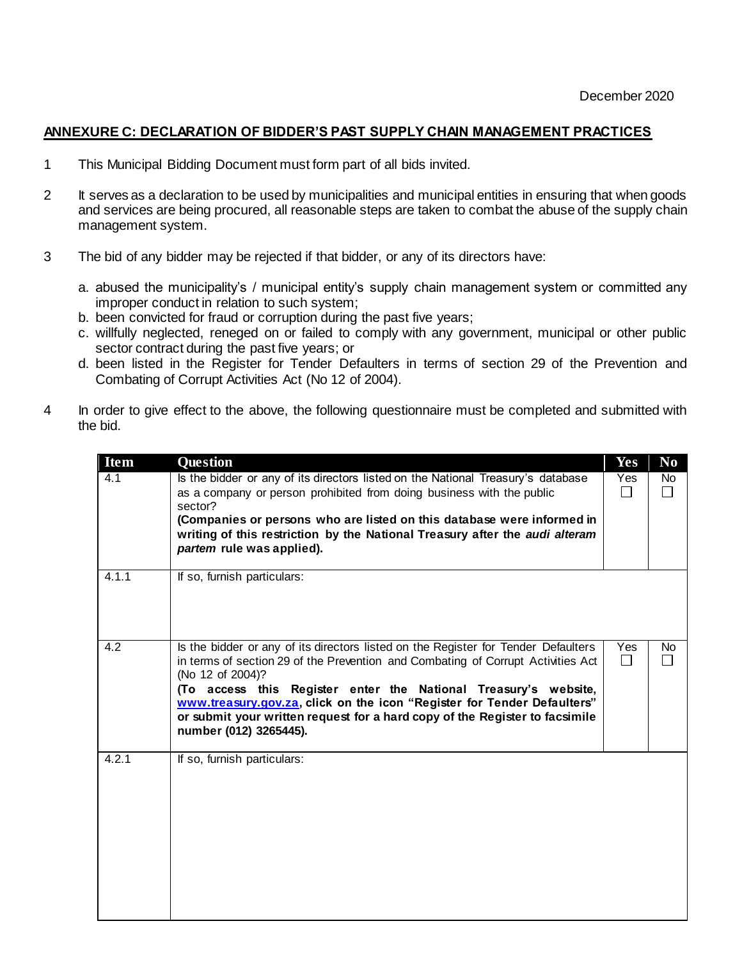#### **ANNEXURE C: DECLARATION OF BIDDER'S PAST SUPPLY CHAIN MANAGEMENT PRACTICES**

- 1 This Municipal Bidding Document must form part of all bids invited.
- 2 It serves as a declaration to be used by municipalities and municipal entities in ensuring that when goods and services are being procured, all reasonable steps are taken to combat the abuse of the supply chain management system.
- 3 The bid of any bidder may be rejected if that bidder, or any of its directors have:
	- a. abused the municipality's / municipal entity's supply chain management system or committed any improper conduct in relation to such system;
	- b. been convicted for fraud or corruption during the past five years;
	- c. willfully neglected, reneged on or failed to comply with any government, municipal or other public sector contract during the past five years; or
	- d. been listed in the Register for Tender Defaulters in terms of section 29 of the Prevention and Combating of Corrupt Activities Act (No 12 of 2004).
- 4 In order to give effect to the above, the following questionnaire must be completed and submitted with the bid.

| <b>Item</b> | Question                                                                                                                                                                                                                                                                                                                                                                                                                                          | Yes | N <sub>0</sub>        |
|-------------|---------------------------------------------------------------------------------------------------------------------------------------------------------------------------------------------------------------------------------------------------------------------------------------------------------------------------------------------------------------------------------------------------------------------------------------------------|-----|-----------------------|
| 4.1         | Is the bidder or any of its directors listed on the National Treasury's database<br>as a company or person prohibited from doing business with the public<br>sector?                                                                                                                                                                                                                                                                              | Yes | No.<br>$\blacksquare$ |
|             | (Companies or persons who are listed on this database were informed in<br>writing of this restriction by the National Treasury after the audi alteram<br>partem rule was applied).                                                                                                                                                                                                                                                                |     |                       |
| 4.1.1       | If so, furnish particulars:                                                                                                                                                                                                                                                                                                                                                                                                                       |     |                       |
| 4.2         | Is the bidder or any of its directors listed on the Register for Tender Defaulters<br>in terms of section 29 of the Prevention and Combating of Corrupt Activities Act<br>(No 12 of 2004)?<br>(To access this Register enter the National Treasury's website,<br>www.treasury.gov.za, click on the icon "Register for Tender Defaulters"<br>or submit your written request for a hard copy of the Register to facsimile<br>number (012) 3265445). | Yes | No.                   |
| 4.2.1       | If so, furnish particulars:                                                                                                                                                                                                                                                                                                                                                                                                                       |     |                       |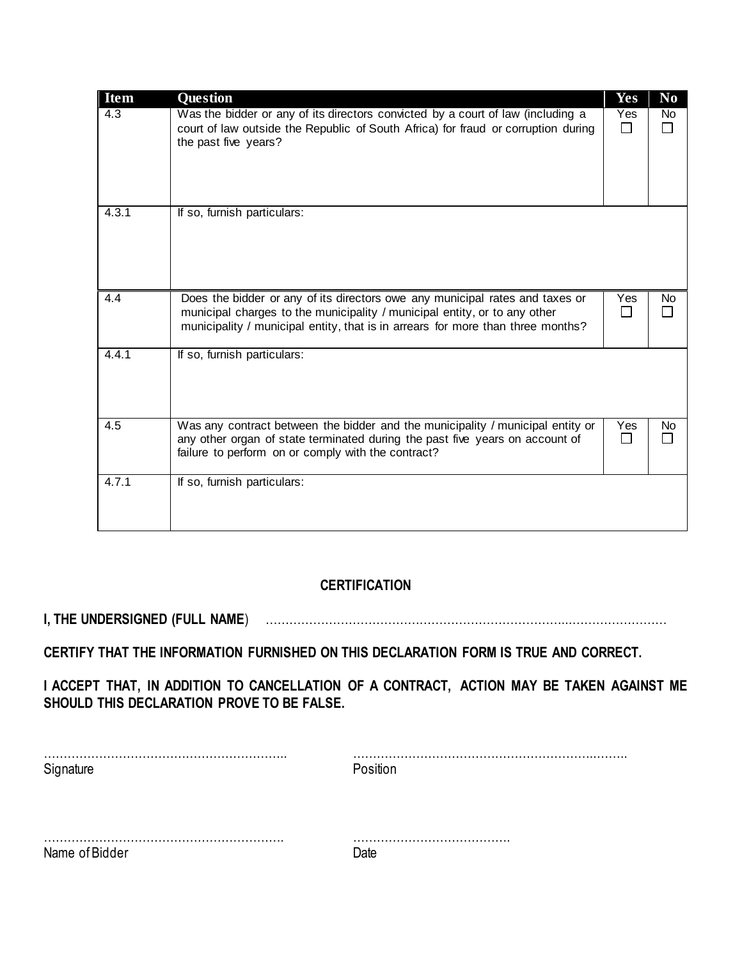| <b>Item</b> | Question                                                                                                                                                                                                                                     | Yes        | N <sub>0</sub> |
|-------------|----------------------------------------------------------------------------------------------------------------------------------------------------------------------------------------------------------------------------------------------|------------|----------------|
| 4.3         | Was the bidder or any of its directors convicted by a court of law (including a<br>court of law outside the Republic of South Africa) for fraud or corruption during<br>the past five years?                                                 | Yes<br>П   | No.            |
| 4.3.1       | If so, furnish particulars:                                                                                                                                                                                                                  |            |                |
| 4.4         | Does the bidder or any of its directors owe any municipal rates and taxes or<br>municipal charges to the municipality / municipal entity, or to any other<br>municipality / municipal entity, that is in arrears for more than three months? | <b>Yes</b> | No.            |
| 4.4.1       | If so, furnish particulars:                                                                                                                                                                                                                  |            |                |
| 4.5         | Was any contract between the bidder and the municipality / municipal entity or<br>any other organ of state terminated during the past five years on account of<br>failure to perform on or comply with the contract?                         | Yes        | No.            |
| 4.7.1       | If so, furnish particulars:                                                                                                                                                                                                                  |            |                |

#### **CERTIFICATION**

**I, THE UNDERSIGNED (FULL NAME**) …………………………………………………………………...……………………

**CERTIFY THAT THE INFORMATION FURNISHED ON THIS DECLARATION FORM IS TRUE AND CORRECT.** 

**I ACCEPT THAT, IN ADDITION TO CANCELLATION OF A CONTRACT, ACTION MAY BE TAKEN AGAINST ME SHOULD THIS DECLARATION PROVE TO BE FALSE.** 

| Signature      | Position |
|----------------|----------|
|                |          |
| Name of Bidder |          |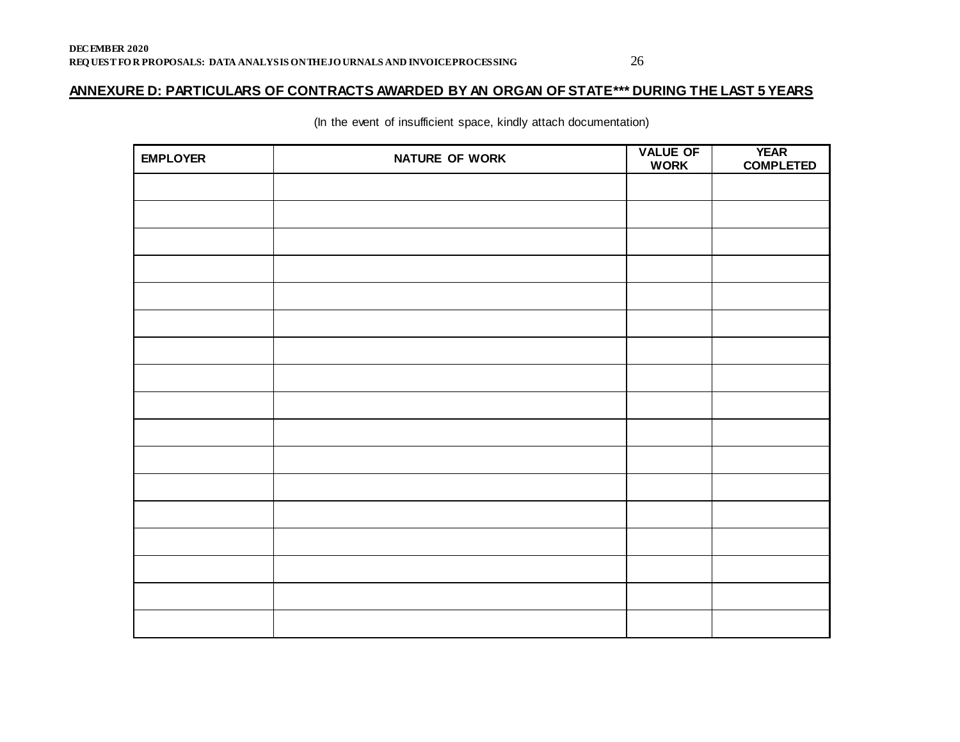#### **ANNEXURE D: PARTICULARS OF CONTRACTS AWARDED BY AN ORGAN OF STATE\*\*\* DURING THE LAST 5 YEARS**

(In the event of insufficient space, kindly attach documentation)

| <b>EMPLOYER</b> | NATURE OF WORK | <b>VALUE OF</b><br><b>WORK</b> | <b>YEAR</b><br><b>COMPLETED</b> |
|-----------------|----------------|--------------------------------|---------------------------------|
|                 |                |                                |                                 |
|                 |                |                                |                                 |
|                 |                |                                |                                 |
|                 |                |                                |                                 |
|                 |                |                                |                                 |
|                 |                |                                |                                 |
|                 |                |                                |                                 |
|                 |                |                                |                                 |
|                 |                |                                |                                 |
|                 |                |                                |                                 |
|                 |                |                                |                                 |
|                 |                |                                |                                 |
|                 |                |                                |                                 |
|                 |                |                                |                                 |
|                 |                |                                |                                 |
|                 |                |                                |                                 |
|                 |                |                                |                                 |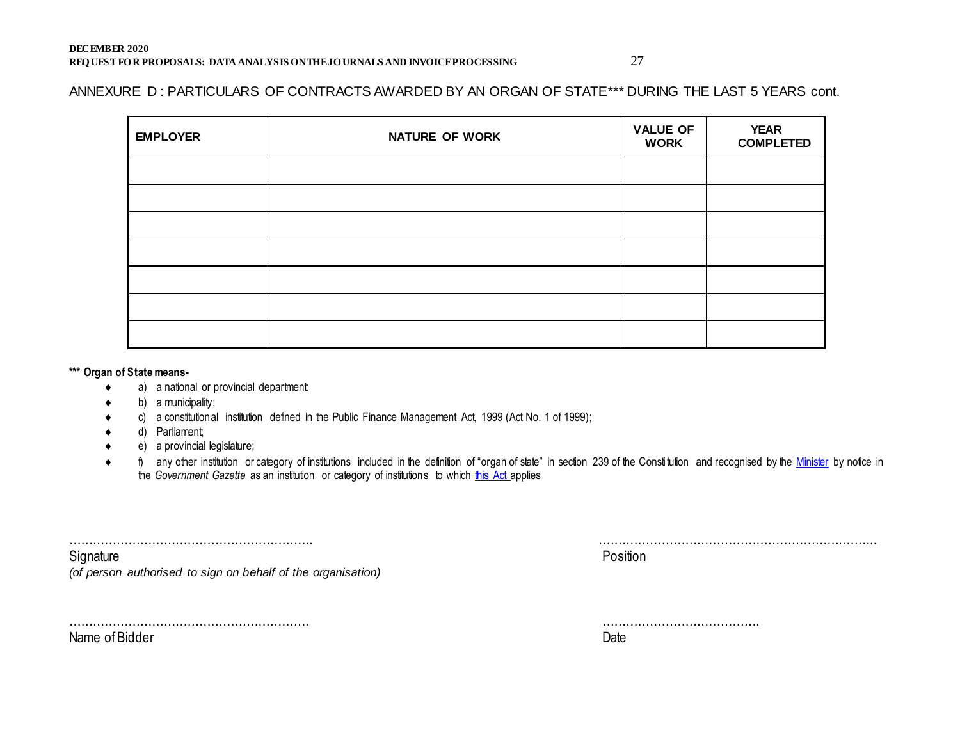#### ANNEXURE D: PARTICULARS OF CONTRACTS AWARDED BY AN ORGAN OF STATE\*\*\* DURING THE LAST 5 YEARS cont.

| <b>EMPLOYER</b> | <b>NATURE OF WORK</b> | <b>VALUE OF</b><br><b>WORK</b> | <b>YEAR</b><br><b>COMPLETED</b> |
|-----------------|-----------------------|--------------------------------|---------------------------------|
|                 |                       |                                |                                 |
|                 |                       |                                |                                 |
|                 |                       |                                |                                 |
|                 |                       |                                |                                 |
|                 |                       |                                |                                 |
|                 |                       |                                |                                 |
|                 |                       |                                |                                 |

#### **\*\*\* Organ of State means-**

- a) a national or provincial department:
- b) a municipality;
- c) a constitutional institution defined in the Public Finance Management Act, 1999 (Act No. 1 of 1999);

Name of Bidder Date

- d) Parliament;
- e) a provincial legislature;
- ♦ f) any other institution or category of institutions included in the definition of "organ of state" in section 239 of the Constitution and recognised by the [Minister](javascript:void(0);) by notice in the *Government Gazette* as an institution or category of institutions to whic[h this Act](javascript:void(0);) applies

| Signature                                                    | Position |
|--------------------------------------------------------------|----------|
| (of person authorised to sign on behalf of the organisation) |          |
|                                                              |          |
|                                                              |          |
|                                                              |          |
|                                                              |          |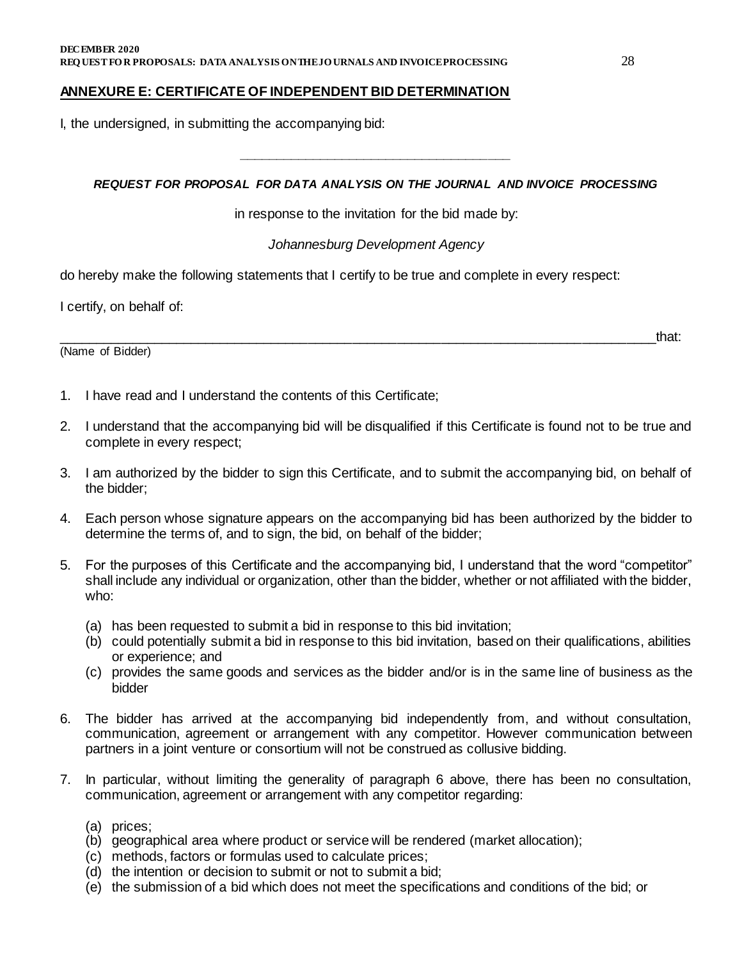#### **ANNEXURE E: CERTIFICATE OF INDEPENDENT BID DETERMINATION**

I, the undersigned, in submitting the accompanying bid:

#### *REQUEST FOR PROPOSAL FOR DATA ANALYSIS ON THE JOURNAL AND INVOICE PROCESSING*

*\_\_\_\_\_\_\_\_\_\_\_\_\_\_\_\_\_\_\_\_\_\_\_\_\_\_\_\_\_\_\_\_\_\_\_\_\_*

in response to the invitation for the bid made by:

#### *Johannesburg Development Agency*

do hereby make the following statements that I certify to be true and complete in every respect:

I certify, on behalf of:

(Name of Bidder)

\_\_\_\_\_\_\_\_\_\_\_\_\_\_\_\_\_\_\_\_\_\_\_\_\_\_\_\_\_\_\_\_\_\_\_\_\_\_\_\_\_\_\_\_\_\_\_\_\_\_\_\_\_\_\_\_\_\_\_\_\_\_\_\_\_\_\_\_\_\_\_\_\_\_\_\_\_\_\_\_\_that:

- 1. I have read and I understand the contents of this Certificate;
- 2. I understand that the accompanying bid will be disqualified if this Certificate is found not to be true and complete in every respect;
- 3. I am authorized by the bidder to sign this Certificate, and to submit the accompanying bid, on behalf of the bidder;
- 4. Each person whose signature appears on the accompanying bid has been authorized by the bidder to determine the terms of, and to sign, the bid, on behalf of the bidder;
- 5. For the purposes of this Certificate and the accompanying bid, I understand that the word "competitor" shall include any individual or organization, other than the bidder, whether or not affiliated with the bidder, who:
	- (a) has been requested to submit a bid in response to this bid invitation;
	- (b) could potentially submit a bid in response to this bid invitation, based on their qualifications, abilities or experience; and
	- (c) provides the same goods and services as the bidder and/or is in the same line of business as the bidder
- 6. The bidder has arrived at the accompanying bid independently from, and without consultation, communication, agreement or arrangement with any competitor. However communication between partners in a joint venture or consortium will not be construed as collusive bidding.
- 7. In particular, without limiting the generality of paragraph 6 above, there has been no consultation, communication, agreement or arrangement with any competitor regarding:
	- (a) prices;
	- (b) geographical area where product or service will be rendered (market allocation);
	- (c) methods, factors or formulas used to calculate prices;
	- (d) the intention or decision to submit or not to submit a bid;
	- (e) the submission of a bid which does not meet the specifications and conditions of the bid; or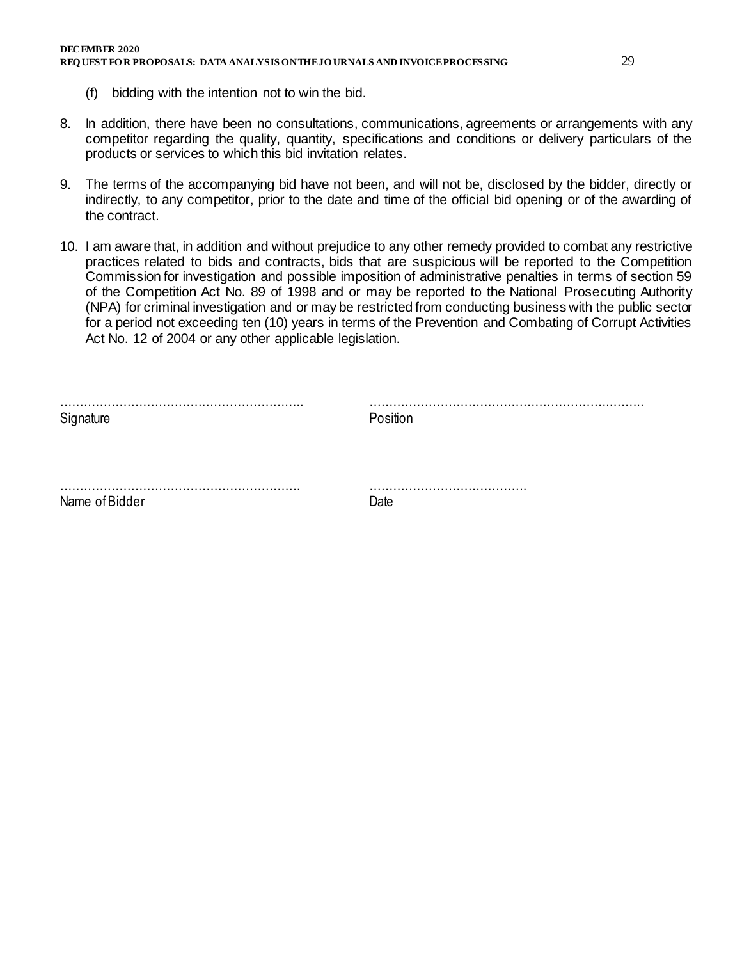- 8. In addition, there have been no consultations, communications, agreements or arrangements with any competitor regarding the quality, quantity, specifications and conditions or delivery particulars of the products or services to which this bid invitation relates.
- 9. The terms of the accompanying bid have not been, and will not be, disclosed by the bidder, directly or indirectly, to any competitor, prior to the date and time of the official bid opening or of the awarding of the contract.
- 10. I am aware that, in addition and without prejudice to any other remedy provided to combat any restrictive practices related to bids and contracts, bids that are suspicious will be reported to the Competition Commission for investigation and possible imposition of administrative penalties in terms of section 59 of the Competition Act No. 89 of 1998 and or may be reported to the National Prosecuting Authority (NPA) for criminal investigation and or may be restricted from conducting business with the public sector for a period not exceeding ten (10) years in terms of the Prevention and Combating of Corrupt Activities Act No. 12 of 2004 or any other applicable legislation.

| Signature      | Position |
|----------------|----------|
|                |          |
| Name of Bidder | Date     |